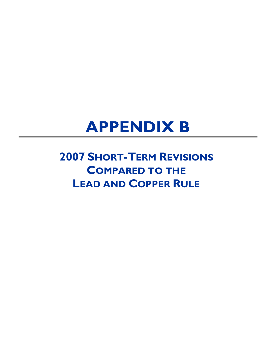# **APPENDIX B**

# **2007 SHORT-TERM REVISIONS COMPARED TO THE LEAD AND COPPER RULE**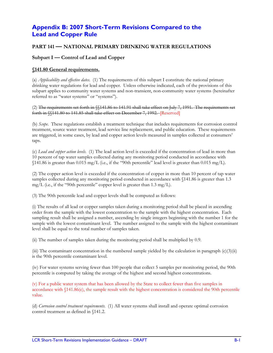# **Appendix B: 2007 Short-Term Revisions Compared to the Lead and Copper Rule**

# **PART 141 — NATIONAL PRIMARY DRINKING WATER REGULATIONS**

# **Subpart I — Control of Lead and Copper**

#### **§141.80 General requirements.**

(a) *Applicability and effective dates*. (1) The requirements of this subpart I constitute the national primary drinking water regulations for lead and copper. Unless otherwise indicated, each of the provisions of this subpart applies to community water systems and non-transient, non-community water systems (hereinafter referred to as "water systems" or "systems").

(2) The requirements set forth in §§141.86 to 141.91 shall take effect on July 7, 1991. The requirements set forth in §§141.80 to 141.85 shall take effect on December 7, 1992. [Reserved]

(b) *Scope*. These regulations establish a treatment technique that includes requirements for corrosion control treatment, source water treatment, lead service line replacement, and public education. These requirements are triggered, in some cases, by lead and copper action levels measured in samples collected at consumers' taps.

(c) *Lead and copper action levels*. (1) The lead action level is exceeded if the concentration of lead in more than 10 percent of tap water samples collected during any monitoring period conducted in accordance with  $$141.86$  is greater than 0.015 mg/L (i.e., if the "90th percentile" lead level is greater than 0.015 mg/L).

(2) The copper action level is exceeded if the concentration of copper in more than 10 percent of tap water samples collected during any monitoring period conducted in accordance with §141.86 is greater than 1.3 mg/L (i.e., if the "90th percentile" copper level is greater than  $1.3 \text{ mg/L}$ ).

(3) The 90th percentile lead and copper levels shall be computed as follows:

(i) The results of all lead or copper samples taken during a monitoring period shall be placed in ascending order from the sample with the lowest concentration to the sample with the highest concentration. Each sampling result shall be assigned a number, ascending by single integers beginning with the number 1 for the sample with the lowest contaminant level. The number assigned to the sample with the highest contaminant level shall be equal to the total number of samples taken.

(ii) The number of samples taken during the monitoring period shall be multiplied by 0.9.

(iii) The contaminant concentration in the numbered sample yielded by the calculation in paragraph  $(c)(3)(ii)$ is the 90th percentile contaminant level.

(iv) For water systems serving fewer than 100 people that collect 5 samples per monitoring period, the 90th percentile is computed by taking the average of the highest and second highest concentrations.

(v) For a public water system that has been allowed by the State to collect fewer than five samples in accordance with §141.86(c), the sample result with the highest concentration is considered the 90th percentile value.

(d) *Corrosion control treatment requirements*. (1) All water systems shall install and operate optimal corrosion control treatment as defined in §141.2.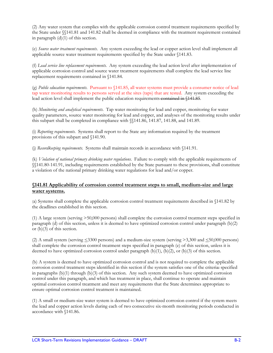(2) Any water system that complies with the applicable corrosion control treatment requirements specified by the State under §§141.81 and 141.82 shall be deemed in compliance with the treatment requirement contained in paragraph  $(d)(1)$  of this section.

(e) *Source water treatment requirements*. Any system exceeding the lead or copper action level shall implement all applicable source water treatment requirements specified by the State under §141.83.

(f) *Lead service line replacement requirements*. Any system exceeding the lead action level after implementation of applicable corrosion control and source water treatment requirements shall complete the lead service line replacement requirements contained in §141.84.

(g) *Public education requirements*. Pursuant to §141.85, all water systems must provide a consumer notice of lead tap water monitoring results to persons served at the sites (taps) that are tested. Any system exceeding the lead action level shall implement the public education requirements contained in §141.85.

(h) *Monitoring and analytical requirements*. Tap water monitoring for lead and copper, monitoring for water quality parameters, source water monitoring for lead and copper, and analyses of the monitoring results under this subpart shall be completed in compliance with §§141.86, 141.87, 141.88, and 141.89.

(i) *Reporting requirements*. Systems shall report to the State any information required by the treatment provisions of this subpart and §141.90.

(j) *Recordkeeping requirements*. Systems shall maintain records in accordance with §141.91.

(k) *Violation of national primary drinking water regulations*. Failure to comply with the applicable requirements of §§141.80-141.91, including requirements established by the State pursuant to these provisions, shall constitute a violation of the national primary drinking water regulations for lead and/or copper.

# **§141.81 Applicability of corrosion control treatment steps to small, medium-size and large water systems.**

(a) Systems shall complete the applicable corrosion control treatment requirements described in §141.82 by the deadlines established in this section.

(1) A large system (serving >50,000 persons) shall complete the corrosion control treatment steps specified in paragraph (d) of this section, unless it is deemed to have optimized corrosion control under paragraph (b)(2) or  $(b)(3)$  of this section.

(2) A small system (serving  $\leq$ 3300 persons) and a medium-size system (serving >3,300 and  $\leq$ 50,000 persons) shall complete the corrosion control treatment steps specified in paragraph (e) of this section, unless it is deemed to have optimized corrosion control under paragraph  $(b)(1)$ ,  $(b)(2)$ , or  $(b)(3)$  of this section.

(b) A system is deemed to have optimized corrosion control and is not required to complete the applicable corrosion control treatment steps identified in this section if the system satisfies one of the criteria: specified in paragraphs (b)(1) through (b)(3) of this section. Any such system deemed to have optimized corrosion control under this paragraph, and which has treatment in place, shall continue to operate and maintain optimal corrosion control treatment and meet any requirements that the State determines appropriate to ensure optimal corrosion control treatment is maintained.

(1) A small or medium-size water system is deemed to have optimized corrosion control if the system meets the lead and copper action levels during each of two consecutive six-month monitoring periods conducted in accordance with §141.86.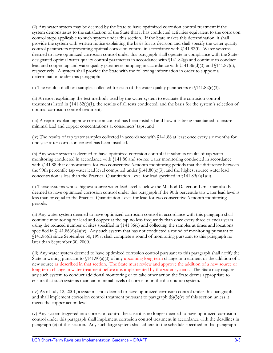(2) Any water system may be deemed by the State to have optimized corrosion control treatment if the system demonstrates to the satisfaction of the State that it has conducted activities equivalent to the corrosion control steps applicable to such system under this section. If the State makes this determination, it shall provide the system with written notice explaining the basis for its decision and shall specify the water quality control parameters representing optimal corrosion control in accordance with §141.82(f). Water systems deemed to have optimized corrosion control under this paragraph shall operate in compliance with the Statedesignated optimal water quality control parameters in accordance with §141.82(g) and continue to conduct lead and copper tap and water quality parameter sampling in accordance with §141.86(d)(3) and §141.87(d), respectively. A system shall provide the State with the following information in order to support a determination under this paragraph:

(i) The results of all test samples collected for each of the water quality parameters in  $\{141.82(c)(3)\}$ .

(ii) A report explaining the test methods used by the water system to evaluate the corrosion control treatments listed in  $\{141.82(c)(1)$ , the results of all tests conducted, and the basis for the system's selection of optimal corrosion control treatment;

(iii) A report explaining how corrosion control has been installed and how it is being maintained to insure minimal lead and copper concentrations at consumers' taps; and

(iv) The results of tap water samples collected in accordance with §141.86 at least once every six months for one year after corrosion control has been installed.

(3) Any water system is deemed to have optimized corrosion control if it submits results of tap water monitoring conducted in accordance with §141.86 and source water monitoring conducted in accordance with  $$141.88$  that demonstrates for two consecutive 6-month monitoring periods that the difference between the 90th percentile tap water lead level computed under  $(141.80(c)(3))$ , and the highest source water lead concentration is less than the Practical Quantitation Level for lead specified in  $\{141.89(a)(1)(ii)\}$ .

(i) Those systems whose highest source water lead level is below the Method Detection Limit may also be deemed to have optimized corrosion control under this paragraph if the 90th percentile tap water lead level is less than or equal to the Practical Quantitation Level for lead for two consecutive 6-month monitoring periods.

(ii) Any water system deemed to have optimized corrosion control in accordance with this paragraph shall continue monitoring for lead and copper at the tap no less frequently than once every three calendar years using the reduced number of sites specified in §141.86(c) and collecting the samples at times and locations specified in  $\{141.86(d)(4)(iv)$ . Any such system that has not conducted a round of monitoring pursuant to §141.86(d) since September 30, 1997, shall complete a round of monitoring pursuant to this paragraph no later than September 30, 2000.

(iii) Any water system deemed to have optimized corrosion control pursuant to this paragraph shall notify the State in writing pursuant to  $(141.90(a)(3))$  of any upcoming long-term change in treatment or the addition of a new source as described in that section. The State must review and approve the addition of a new source or long-term change in water treatment before it is implemented by the water systems. The State may require any such system to conduct additional monitoring or to take other action the State deems appropriate to ensure that such systems maintain minimal levels of corrosion in the distribution system.

(iv) As of July 12, 2001, a system is not deemed to have optimized corrosion control under this paragraph, and shall implement corrosion control treatment pursuant to paragraph  $(b)(3)(v)$  of this section unless it meets the copper action level.

(v) Any system triggered into corrosion control because it is no longer deemed to have optimized corrosion control under this paragraph shall implement corrosion control treatment in accordance with the deadlines in paragraph (e) of this section. Any such large system shall adhere to the schedule specified in that paragraph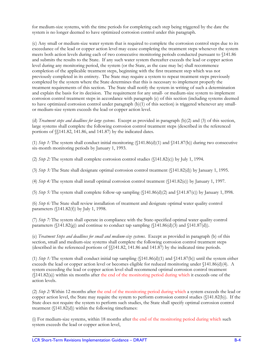for medium-size systems, with the time periods for completing each step being triggered by the date the system is no longer deemed to have optimized corrosion control under this paragraph.

(c) Any small or medium-size water system that is required to complete the corrosion control steps due to its exceedance of the lead or copper action level may cease completing the treatment steps whenever the system meets both action levels during each of two consecutive monitoring periods conducted pursuant to §141.86 and submits the results to the State. If any such water system thereafter exceeds the lead or copper action level during any monitoring period, the system (or the State, as the case may be) shall recommence completion of the applicable treatment steps, beginning with the first treatment step which was not previously completed in its entirety. The State may require a system to repeat treatment steps previously completed by the system where the State determines that this is necessary to implement properly the treatment requirements of this section. The State shall notify the system in writing of such a determination and explain the basis for its decision. The requirement for any small- or medium-size system to implement corrosion control treatment steps in accordance with paragraph (e) of this section (including systems deemed to have optimized corrosion control under paragraph (b)(1) of this section) is triggered whenever any smallor medium-size system exceeds the lead or copper action level.

(d) *Treatment steps and deadlines for large systems*. Except as provided in paragraph (b)(2) and (3) of this section, large systems shall complete the following corrosion control treatment steps (described in the referenced portions of §§141.82, 141.86, and 141.87) by the indicated dates.

(1) *Step 1:* The system shall conduct initial monitoring (§141.86(d)(1) and §141.87(b)) during two consecutive six-month monitoring periods by January 1, 1993.

(2) *Step 2:* The system shall complete corrosion control studies (§141.82(c)) by July 1, 1994.

(3) *Step 3:* The State shall designate optimal corrosion control treatment (§141.82(d)) by January 1, 1995.

(4) *Step 4:* The system shall install optimal corrosion control treatment (§141.82(e)) by January 1, 1997.

(5) *Step 5:* The system shall complete follow-up sampling  $(\frac{141.86(d)}{2})$  and  $\frac{141.87(c)}{b}$  by January 1, 1998.

(6) *Step 6:* The State shall review installation of treatment and designate optimal water quality control parameters (§141.82(f)) by July 1, 1998.

(7) *Step 7:* The system shall operate in compliance with the State-specified optimal water quality control parameters ( $\langle 141.82(g) \rangle$  and continue to conduct tap sampling ( $\langle 141.86(d)(3) \rangle$  and  $\langle 141.87(d) \rangle$ .

(e) *Treatment Steps and deadlines for small and medium-size systems*. Except as provided in paragraph (b) of this section, small and medium-size systems shall complete the following corrosion control treatment steps (described in the referenced portions of §§141.82, 141.86 and 141.87) by the indicated time periods.

(1) *Step 1*: The system shall conduct initial tap sampling  $(\frac{141.86(d)}{1})$  and  $\frac{141.87(b)}{141.87(b)}$  until the system either exceeds the lead or copper action level or becomes eligible for reduced monitoring under §141.86(d)(4). A system exceeding the lead or copper action level shall recommend optimal corrosion control treatment (§141.82(a)) within six months after the end of the monitoring period during which it exceeds one of the action levels.

(2) *Step 2:* Within 12 months after the end of the monitoring period during which a system exceeds the lead or copper action level, the State may require the system to perform corrosion control studies (§141.82(b)). If the State does not require the system to perform such studies, the State shall specify optimal corrosion control treatment (§141.82(d)) within the following timeframes:

(i) For medium-size systems, within 18 months after the end of the monitoring period during which such system exceeds the lead or copper action level,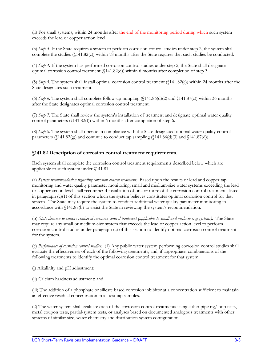(ii) For small systems, within 24 months after the end of the monitoring period during which such system exceeds the lead or copper action level.

(3) *Step 3:* If the State requires a system to perform corrosion control studies under step 2, the system shall complete the studies (§141.82(c)) within 18 months after the State requires that such studies be conducted.

(4) *Step 4:* If the system has performed corrosion control studies under step 2, the State shall designate optimal corrosion control treatment (§141.82(d)) within 6 months after completion of step 3.

(5) *Step 5:* The system shall install optimal corrosion control treatment (§141.82(e)) within 24 months after the State designates such treatment.

(6) *Step 6:* The system shall complete follow-up sampling (§141.86(d)(2) and §141.87(c)) within 36 months after the State designates optimal corrosion control treatment.

(7) *Step 7:* The State shall review the system's installation of treatment and designate optimal water quality control parameters (§141.82(f)) within 6 months after completion of step 6.

(8) *Step 8:* The system shall operate in compliance with the State-designated optimal water quality control parameters ( $\langle 141.82(g) \rangle$  and continue to conduct tap sampling ( $\langle 141.86(d)(3) \rangle$  and  $\langle 141.87(d) \rangle$ .

#### **§141.82 Description of corrosion control treatment requirements.**

Each system shall complete the corrosion control treatment requirements described below which are applicable to such system under §141.81.

(a) *System recommendation regarding corrosion control treatment*. Based upon the results of lead and copper tap monitoring and water quality parameter monitoring, small and medium-size water systems exceeding the lead or copper action level shall recommend installation of one or more of the corrosion control treatments listed in paragraph  $(c)(1)$  of this section which the system believes constitutes optimal corrosion control for that system. The State may require the system to conduct additional water quality parameter monitoring in accordance with §141.87(b) to assist the State in reviewing the system's recommendation.

(b) *State decision to require studies of corrosion control treatment (applicable to small and medium-size systems)*. The State may require any small or medium-size system that exceeds the lead or copper action level to perform corrosion control studies under paragraph (c) of this section to identify optimal corrosion control treatment for the system.

(c) *Performance of corrosion control studies*. (1) Any public water system performing corrosion control studies shall evaluate the effectiveness of each of the following treatments, and, if appropriate, combinations of the following treatments to identify the optimal corrosion control treatment for that system:

(i) Alkalinity and pH adjustment;

(ii) Calcium hardness adjustment; and

(iii) The addition of a phosphate or silicate based corrosion inhibitor at a concentration sufficient to maintain an effective residual concentration in all test tap samples.

(2) The water system shall evaluate each of the corrosion control treatments using either pipe rig/loop tests, metal coupon tests, partial-system tests, or analyses based on documented analogous treatments with other systems of similar size, water chemistry and distribution system configuration.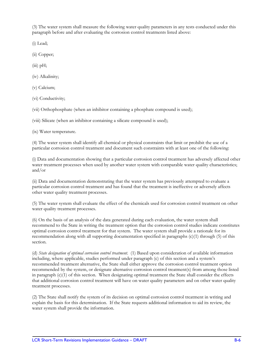(3) The water system shall measure the following water quality parameters in any tests conducted under this paragraph before and after evaluating the corrosion control treatments listed above:

(i) Lead;

(ii) Copper;

 $(iii)$  pH;

(iv) Alkalinity;

(v) Calcium;

(vi) Conductivity;

(vii) Orthophosphate (when an inhibitor containing a phosphate compound is used);

(viii) Silicate (when an inhibitor containing a silicate compound is used);

(ix) Water temperature.

(4) The water system shall identify all chemical or physical constraints that limit or prohibit the use of a particular corrosion control treatment and document such constraints with at least one of the following:

(i) Data and documentation showing that a particular corrosion control treatment has adversely affected other water treatment processes when used by another water system with comparable water quality characteristics; and/or

(ii) Data and documentation demonstrating that the water system has previously attempted to evaluate a particular corrosion control treatment and has found that the treatment is ineffective or adversely affects other water quality treatment processes.

(5) The water system shall evaluate the effect of the chemicals used for corrosion control treatment on other water quality treatment processes.

(6) On the basis of an analysis of the data generated during each evaluation, the water system shall recommend to the State in writing the treatment option that the corrosion control studies indicate constitutes optimal corrosion control treatment for that system. The water system shall provide a rationale for its recommendation along with all supporting documentation specified in paragraphs (c)(1) through (5) of this section.

(d) *State designation of optimal corrosion control treatment*. (1) Based upon consideration of available information including, where applicable, studies performed under paragraph (c) of this section and a system's recommended treatment alternative, the State shall either approve the corrosion control treatment option recommended by the system, or designate alternative corrosion control treatment(s) from among those listed in paragraph  $(c)(1)$  of this section. When designating optimal treatment the State shall consider the effects that additional corrosion control treatment will have on water quality parameters and on other water quality treatment processes.

(2) The State shall notify the system of its decision on optimal corrosion control treatment in writing and explain the basis for this determination. If the State requests additional information to aid its review, the water system shall provide the information.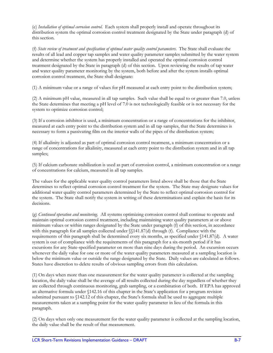(e) *Installation of optimal corrosion control*. Each system shall properly install and operate throughout its distribution system the optimal corrosion control treatment designated by the State under paragraph (d) of this section.

(f) *State review of treatment and specification of optimal water quality control parameters*. The State shall evaluate the results of all lead and copper tap samples and water quality parameter samples submitted by the water system and determine whether the system has properly installed and operated the optimal corrosion control treatment designated by the State in paragraph (d) of this section. Upon reviewing the results of tap water and water quality parameter monitoring by the system, both before and after the system installs optimal corrosion control treatment, the State shall designate:

(1) A minimum value or a range of values for pH measured at each entry point to the distribution system;

(2) A minimum pH value, measured in all tap samples. Such value shall be equal to or greater than 7.0, unless the State determines that meeting a pH level of 7.0 is not technologically feasible or is not necessary for the system to optimize corrosion control;

(3) If a corrosion inhibitor is used, a minimum concentration or a range of concentrations for the inhibitor, measured at each entry point to the distribution system and in all tap samples, that the State determines is necessary to form a passivating film on the interior walls of the pipes of the distribution system;

(4) If alkalinity is adjusted as part of optimal corrosion control treatment, a minimum concentration or a range of concentrations for alkalinity, measured at each entry point to the distribution system and in all tap samples;

(5) If calcium carbonate stabilization is used as part of corrosion control, a minimum concentration or a range of concentrations for calcium, measured in all tap samples.

The values for the applicable water quality control parameters listed above shall be those that the State determines to reflect optimal corrosion control treatment for the system. The State may designate values for additional water quality control parameters determined by the State to reflect optimal corrosion control for the system. The State shall notify the system in writing of these determinations and explain the basis for its decisions.

(g) *Continued operation and monitoring*. All systems optimizing corrosion control shall continue to operate and maintain optimal corrosion control treatment, including maintaining water quality parameters at or above minimum values or within ranges designated by the State under paragraph (f) of this section, in accordance with this paragraph for all samples collected under  $\{\$141.87(d)$  through (f). Compliance with the requirements of this paragraph shall be determined every six months, as specified under §141.87(d). A water system is out of compliance with the requirements of this paragraph for a six-month period if it has excursions for any State-specified parameter on more than nine days during the period. An excursion occurs whenever the daily value for one or more of the water quality parameters measured at a sampling location is below the minimum value or outside the range designated by the State. Daily values are calculated as follows. States have discretion to delete results of obvious sampling errors from this calculation.

(1) On days when more than one measurement for the water quality parameter is collected at the sampling location, the daily value shall be the average of all results collected during the day regardless of whether they are collected through continuous monitoring, grab sampling, or a combination of both. If EPA has approved an alternative formula under §142.16 of this chapter in the State's application for a program revision submitted pursuant to §142.12 of this chapter, the State's formula shall be used to aggregate multiple measurements taken at a sampling point for the water quality parameter in lieu of the formula in this paragraph.

(2) On days when only one measurement for the water quality parameter is collected at the sampling location, the daily value shall be the result of that measurement.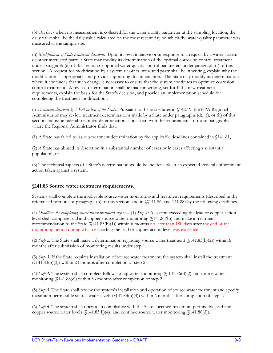(3) On days when no measurement is collected for the water quality parameter at the sampling location, the daily value shall be the daily value calculated on the most recent day on which the water quality parameter was measured at the sample site.

(h) *Modification of State treatment decisions*. Upon its own initiative or in response to a request by a water system or other interested party, a State may modify its determination of the optimal corrosion control treatment under paragraph (d) of this section or optimal water quality control parameters under paragraph (f) of this section. A request for modification by a system or other interested party shall be in writing, explain why the modification is appropriate, and provide supporting documentation. The State may modify its determination where it concludes that such change is necessary to ensure that the system continues to optimize corrosion control treatment. A revised determination shall be made in writing, set forth the new treatment requirements, explain the basis for the State's decision, and provide an implementation schedule for completing the treatment modifications.

(i) *Treatment decisions by EPA in lieu of the State*. Pursuant to the procedures in §142.19, the EPA Regional Administrator may review treatment determinations made by a State under paragraphs (d), (f), or (h) of this section and issue federal treatment determinations consistent with the requirements of those paragraphs where the Regional Administrator finds that:

(1) A State has failed to issue a treatment determination by the applicable deadlines contained in §141.81,

(2) A State has abused its discretion in a substantial number of cases or in cases affecting a substantial population, or

(3) The technical aspects of a State's determination would be indefensible in an expected Federal enforcement action taken against a system.

# **§141.83 Source water treatment requirements.**

Systems shall complete the applicable source water monitoring and treatment requirements (described in the referenced portions of paragraph (b) of this section, and in §§141.86, and 141.88) by the following deadlines.

(a) *Deadlines for completing source water treatment steps —* (1) *Step 1:* A system exceeding the lead or copper action level shall complete lead and copper source water monitoring (§141.88(b)) and make a treatment recommendation to the State  $(\frac{141.83(b)(1)}{w}$  within 6 months no later than 180 days after the end of the monitoring period during which exceeding the lead or copper action level was exceeded.

(2) *Step 2:* The State shall make a determination regarding source water treatment (§141.83(b)(2)) within 6 months after submission of monitoring results under step 1.

(3) *Step 3:* If the State requires installation of source water treatment, the system shall install the treatment (§141.83(b)(3)) within 24 months after completion of step 2.

(4) *Step 4:* The system shall complete follow-up tap water monitoring (§ 141.86(d)(2) and source water monitoring (§141.88(c)) within 36 months after completion of step 2.

(5) *Step 5:* The State shall review the system's installation and operation of source water treatment and specify maximum permissible source water levels (§141.83(b)(4)) within 6 months after completion of step 4.

(6) *Step 6:* The system shall operate in compliance with the State-specified maximum permissible lead and copper source water levels  $(\{141.83(b)(4)\})$  and continue source water monitoring  $(\{141.88(d)\})$ .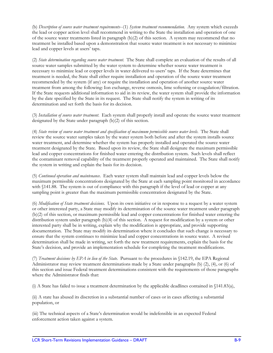(b) *Description of source water treatment requirements*--(1) *System treatment recommendation*. Any system which exceeds the lead or copper action level shall recommend in writing to the State the installation and operation of one of the source water treatments listed in paragraph (b)(2) of this section. A system may recommend that no treatment be installed based upon a demonstration that source water treatment is not necessary to minimize lead and copper levels at users' taps.

(2) *State determination regarding source water treatment*. The State shall complete an evaluation of the results of all source water samples submitted by the water system to determine whether source water treatment is necessary to minimize lead or copper levels in water delivered to users' taps. If the State determines that treatment is needed, the State shall either require installation and operation of the source water treatment recommended by the system (if any) or require the installation and operation of another source water treatment from among the following: Ion exchange, reverse osmosis, lime softening or coagulation/filtration. If the State requests additional information to aid in its review, the water system shall provide the information by the date specified by the State in its request. The State shall notify the system in writing of its determination and set forth the basis for its decision.

(3) *Installation of source water treatment*. Each system shall properly install and operate the source water treatment designated by the State under paragraph (b)(2) of this section.

(4) *State review of source water treatment and specification of maximum permissible source water levels*. The State shall review the source water samples taken by the water system both before and after the system installs source water treatment, and determine whether the system has properly installed and operated the source water treatment designated by the State. Based upon its review, the State shall designate the maximum permissible lead and copper concentrations for finished water entering the distribution system. Such levels shall reflect the contaminant removal capability of the treatment properly operated and maintained. The State shall notify the system in writing and explain the basis for its decision.

(5) *Continued operation and maintenance*. Each water system shall maintain lead and copper levels below the maximum permissible concentrations designated by the State at each sampling point monitored in accordance with  $\{141.88$ . The system is out of compliance with this paragraph if the level of lead or copper at any sampling point is greater than the maximum permissible concentration designated by the State.

(6) *Modification of State treatment decisions*. Upon its own initiative or in response to a request by a water system or other interested party, a State may modify its determination of the source water treatment under paragraph (b)(2) of this section, or maximum permissible lead and copper concentrations for finished water entering the distribution system under paragraph (b)(4) of this section. A request for modification by a system or other interested party shall be in writing, explain why the modification is appropriate, and provide supporting documentation. The State may modify its determination where it concludes that such change is necessary to ensure that the system continues to minimize lead and copper concentrations in source water. A revised determination shall be made in writing, set forth the new treatment requirements, explain the basis for the State's decision, and provide an implementation schedule for completing the treatment modifications.

(7) *Treatment decisions by EPA in lieu of the State*. Pursuant to the procedures in §142.19, the EPA Regional Administrator may review treatment determinations made by a State under paragraphs (b) (2), (4), or (6) of this section and issue Federal treatment determinations consistent with the requirements of those paragraphs where the Administrator finds that:

(i) A State has failed to issue a treatment determination by the applicable deadlines contained in §141.83(a),

(ii) A state has abused its discretion in a substantial number of cases or in cases affecting a substantial population, or

(iii) The technical aspects of a State's determination would be indefensible in an expected Federal enforcement action taken against a system.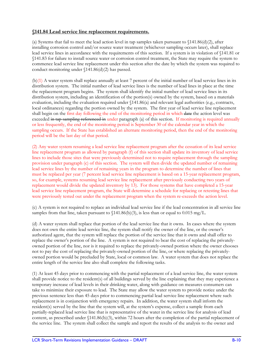#### **§141.84 Lead service line replacement requirements.**

(a) Systems that fail to meet the lead action level in tap samples taken pursuant to  $141.86(d)(2)$ , after installing corrosion control and/or source water treatment (whichever sampling occurs later), shall replace lead service lines in accordance with the requirements of this section. If a system is in violation of §141.81 or §141.83 for failure to install source water or corrosion control treatment, the State may require the system to commence lead service line replacement under this section after the date by which the system was required to conduct monitoring under §141.86(d)(2) has passed.

(b)(1) A water system shall replace annually at least 7 percent of the initial number of lead service lines in its distribution system. The initial number of lead service lines is the number of lead lines in place at the time the replacement program begins. The system shall identify the initial number of lead service lines in its distribution system, including an identification of the portion(s) owned by the system, based on a materials evaluation, including the evaluation required under §141.86(a) and relevant legal authorities (e.g., contracts, local ordinances) regarding the portion owned by the system. The first year of lead service line replacement shall begin on the first day following the end of the monitoring period in which date the action level was exceeded in tap sampling referenced in under paragraph (a) of this section. If monitoring is required annually or less frequently, the end of the monitoring period is September 30 of the calendar year in which the sampling occurs. If the State has established an alternate monitoring period, then the end of the monitoring period will be the last day of that period.

(2) Any water system resuming a lead service line replacement program after the cessation of its lead service line replacement program as allowed by paragraph (f) of this section shall update its inventory of lead service lines to include those sites that were previously determined not to require replacement through the sampling provision under paragraph (c) of this section. The system will then divide the updated number of remaining lead service lines by the number of remaining years in the program to determine the number of lines that must be replaced per year (7 percent lead service line replacement is based on a 15-year replacement program, so, for example, systems resuming lead service line replacement after previously conducting two years of replacement would divide the updated inventory by 13). For those systems that have completed a 15-year lead service line replacement program, the State will determine a schedule for replacing or retesting lines that were previously tested out under the replacement program when the system re-exceeds the action level.

(c) A system is not required to replace an individual lead service line if the lead concentration in all service line samples from that line, taken pursuant to  $(141.86(b)(3))$ , is less than or equal to 0.015 mg/L.

(d) A water system shall replace that portion of the lead service line that it owns. In cases where the system does not own the entire lead service line, the system shall notify the owner of the line, or the owner's authorized agent, that the system will replace the portion of the service line that it owns and shall offer to replace the owner's portion of the line. A system is not required to bear the cost of replacing the privatelyowned portion of the line, nor is it required to replace the privately-owned portion where the owner chooses not to pay the cost of replacing the privately-owned portion of the line, or where replacing the privatelyowned portion would be precluded by State, local or common law. A water system that does not replace the entire length of the service line also shall complete the following tasks.

(1) At least 45 days prior to commencing with the partial replacement of a lead service line, the water system shall provide notice to the resident(s) of all buildings served by the line explaining that they may experience a temporary increase of lead levels in their drinking water, along with guidance on measures consumers can take to minimize their exposure to lead. The State may allow the water system to provide notice under the previous sentence less than 45 days prior to commencing partial lead service line replacement where such replacement is in conjunction with emergency repairs. In addition, the water system shall inform the resident(s) served by the line that the system will, at the system's expense, collect a sample from each partially-replaced lead service line that is representative of the water in the service line for analysis of lead content, as prescribed under §141.86(b)(3), within 72 hours after the completion of the partial replacement of the service line. The system shall collect the sample and report the results of the analysis to the owner and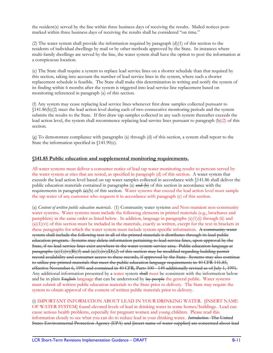the resident(s) served by the line within three business days of receiving the results. Mailed notices postmarked within three business days of receiving the results shall be considered "on time."

(2) The water system shall provide the information required by paragraph (d)(1) of this section to the residents of individual dwellings by mail or by other methods approved by the State. In instances where multi-family dwellings are served by the line, the water system shall have the option to post the information at a conspicuous location.

(e) The State shall require a system to replace lead service lines on a shorter schedule than that required by this section, taking into account the number of lead service lines in the system, where such a shorter replacement schedule is feasible. The State shall make this determination in writing and notify the system of its finding within 6 months after the system is triggered into lead service line replacement based on monitoring referenced in paragraph (a) of this section.

(f) Any system may cease replacing lead service lines whenever first draw samples collected pursuant to §141.86(b)(2) meet the lead action level during each of two consecutive monitoring periods and the system submits the results to the State. If first draw tap samples collected in any such system thereafter exceeds the lead action level, the system shall recommence replacing lead service lines pursuant to paragraph (b)(2) of this section.

(g) To demonstrate compliance with paragraphs (a) through (d) of this section, a system shall report to the State the information specified in §141.90(e).

#### **§141.85 Public education and supplemental monitoring requirements.**

All water systems must deliver a consumer notice of lead tap water monitoring results to persons served by the water system at sites that are tested, as specified in paragraph (d) of this section. A water system that exceeds the lead action level based on tap water samples collected in accordance with §141.86 shall deliver the public education materials contained in paragraphs (a)  $\theta$  and  $\theta$ ) of this section in accordance with the requirements in paragraph  $\left(\frac{e}{c}\right)$  of this section. Water systems that exceed the lead action level must sample the tap water of any customer who requests it in accordance with paragraph (c) of this section.

(a) *Content of written public education materials*. (1) Community water systems and Non-transient non-community water systems. Water systems must include the following elements in printed materials (e.g., brochures and pamphlets) in the same order as listed below. In addition, language in paragraphs  $(a)(1)(i)$  through  $(ii)$  and  $(a)(1)(vi)$  of this section must be included in the materials, exactly as written, except for the text in brackets in these paragraphs for which the water system must include system-specific information. A community water system shall include the following text in all of the printed materials it distributes through its lead public education program. Systems may delete information pertaining to lead service lines, upon approval by the State, if no lead service lines exist anywhere in the water system service area. Public education language at paragraphs (a)(1)(iv)(B)(*5*) and (a)(1)(iv)(D)(*2*) of this section may be modified regarding building permit record availability and consumer access to these records, if approved by the State. Systems may also continue to utilize pre-printed materials that meet the public education language requirements in 40 CFR 141.85, effective November 6, 1991 and contained in 40 CFR, Parts 100 - 149 additionally revised as of July 1, 1991. Any additional information presented by a water system shall must be consistent with the information below and be in plain English language that can be understood by lay people the general public. Water systems must submit all written public education materials to the State prior to delivery. The State may require the system to obtain approval of the content of written public materials prior to delivery.

(i) IMPORTANT INFORMATION ABOUT LEAD IN YOUR DRINKING WATER. [INSERT NAME OF WATER SYSTEM] found elevated levels of lead in drinking water in some homes/buildings. Lead can cause serious health problems, especially for pregnant women and young children. Please read this information closely to see what you can do to reduce lead in your drinking water. *Introduction*. The United States Environmental Protection Agency (EPA) and [insert name of water supplier] are concerned about lead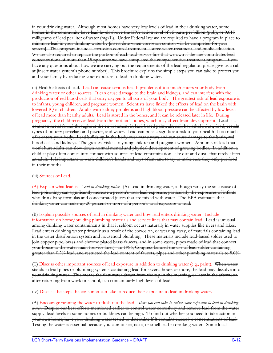in your drinking water. Although most homes have very low levels of lead in their drinking water, some homes in the community have lead levels above the EPA action level of 15 parts per billion (ppb), or 0.015 milligrams of lead per liter of water (mg/L). Under Federal law we are required to have a program in place to minimize lead in your drinking water by [insert date when corrosion control will be completed for your system]. This program includes corrosion control treatment, source water treatment, and public education. We are also required to replace the portion of each lead service line that we own if the line contributes lead concentrations of more than 15 ppb after we have completed the comprehensive treatment program. If you have any questions about how we are carrying out the requirements of the lead regulation please give us a call at [insert water system's phone number]. This brochure explains the simple steps you can take to protect you and your family by reducing your exposure to lead in drinking water.

(ii) Health effects of lead. Lead can cause serious health problems if too much enters your body from drinking water or other sources. It can cause damage to the brain and kidneys, and can interfere with the production of red blood cells that carry oxygen to all parts of your body. The greatest risk of lead exposure is to infants, young children, and pregnant women. Scientists have linked the effects of lead on the brain with lowered IQ in children. Adults with kidney problems and high blood pressure can be affected by low levels of lead more than healthy adults. Lead is stored in the bones, and it can be released later in life. During pregnancy, the child receives lead from the mother's bones, which may affect brain development. Lead is a common metal found throughout the environment in lead-based paint, air, soil, household dust, food, certain types of pottery porcelain and pewter, and water. Lead can pose a significant risk to your health if too much of it enters your body. Lead builds up in the body over many years and can cause damage to the brain, red blood cells and kidneys. The greatest risk is to young children and pregnant women. Amounts of lead that won't hurt adults can slow down normal mental and physical development of growing bodies. In addition, a child at play often comes into contact with sources of lead contamination-like dirt and dust-that rarely affect an adult. It is important to wash children's hands and toys often, and to try to make sure they only put food in their mouths.

#### (iii) Sources of Lead.

(A) Explain what lead is. *Lead in drinking water*. (A) Lead in drinking water, although rarely the sole cause of lead poisoning, can significantly increase a person's total lead exposure, particularly the exposures of infants who drink baby formulas and concentrated juices that are mixed with water. The EPA estimates that drinking water can make up 20 percent or more of a person's total exposure to lead.

#### (B) Explain possible sources of lead in drinking water and how lead enters drinking water. Include

information on home/building plumbing materials and service lines that may contain lead. Lead is unusual among drinking water contaminants in that it seldom occurs naturally in water supplies like rivers and lakes. Lead enters drinking water primarily as a result of the corrosion, or wearing away, of materials containing lead in the water distribution system and household plumbing. These materials include lead-based solder used to join copper pipe, brass and chrome plated brass faucets, and in some cases, pipes made of lead that connect your house to the water main (service lines). In 1986, Congress banned the use of lead solder containing greater than 0.2% lead, and restricted the lead content of faucets, pipes and other plumbing materials to 8.0%.

(C) Discuss other important sources of lead exposure in addition to drinking water (e.g., paint). When water stands in lead pipes or plumbing systems containing lead for several hours or more, the lead may dissolve into your drinking water. This means the first water drawn from the tap in the morning, or later in the afternoon after returning from work or school, can contain fairly high levels of lead.

(iv) Discuss the steps the consumer can take to reduce their exposure to lead in drinking water.

(A) Encourage running the water to flush out the lead. *Steps you can take to reduce your exposure to lead in drinking water.* Despite our best efforts mentioned earlier to control water corrosivity and remove lead from the water supply, lead levels in some homes or buildings can be high. To find out whether you need to take action in your own home, have your drinking water tested to determine if it contains excessive concentrations of lead. Testing the water is essential because you cannot see, taste, or smell lead in drinking water. Some local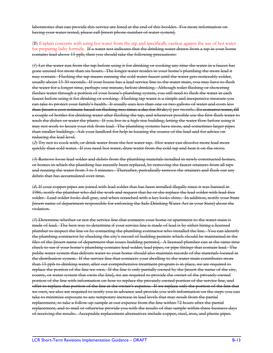laboratories that can provide this service are listed at the end of this booklet. For more information on having your water tested, please call [insert phone number of water system].

(B) Explain concerns with using hot water from the tap and specifically caution against the use of hot water for preparing baby formula. If a water test indicates that the drinking water drawn from a tap in your home contains lead above 15 ppb, then you should take the following precautions:

(*1*) Let the water run from the tap before using it for drinking or cooking any time the water in a faucet has gone unused for more than six hours. The longer water resides in your home's plumbing the more lead it may contain. Flushing the tap means running the cold water faucet until the water gets noticeably colder, usually about 15-30 seconds. If your house has a lead service line to the water main, you may have to flush the water for a longer time, perhaps one minute, before drinking. Although toilet flushing or showering flushes water through a portion of your home's plumbing system, you still need to flush the water in each faucet before using it for drinking or cooking. Flushing tap water is a simple and inexpensive measure you can take to protect your family's health. It usually uses less than one or two gallons of water and costs less than [insert a cost estimate based on flushing two times a day for 30 days] per month. To conserve water, fill a couple of bottles for drinking water after flushing the tap, and whenever possible use the first flush water to wash the dishes or water the plants. If you live in a high-rise building, letting the water flow before using it may not work to lessen your risk from lead. The plumbing systems have more, and sometimes larger pipes than smaller buildings. Ask your landlord for help in locating the source of the lead and for advice on reducing the lead level.

(*2*) Try not to cook with, or drink water from the hot water tap. Hot water can dissolve more lead more quickly than cold water. If you need hot water, draw water from the cold tap and heat it on the stove.

(*3*) Remove loose lead solder and debris from the plumbing materials installed in newly constructed homes, or homes in which the plumbing has recently been replaced, by removing the faucet strainers from all taps and running the water from 3 to 5 minutes. Thereafter, periodically remove the strainers and flush out any debris that has accumulated over time.

(*4*) If your copper pipes are joined with lead solder that has been installed illegally since it was banned in 1986, notify the plumber who did the work and request that he or she replace the lead solder with lead-free solder. Lead solder looks dull gray, and when scratched with a key looks shiny. In addition, notify your State [insert name of department responsible for enforcing the Safe Drinking Water Act in your State] about the violation.

(*5*) Determine whether or not the service line that connects your home or apartment to the water main is made of lead. The best way to determine if your service line is made of lead is by either hiring a licensed plumber to inspect the line or by contacting the plumbing contractor who installed the line. You can identify the plumbing contractor by checking the city's record of building permits which should be maintained in the files of the [insert name of department that issues building permits]. A licensed plumber can at the same time check to see if your home's plumbing contains lead solder, lead pipes, or pipe fittings that contain lead. The public water system that delivers water to your home should also maintain records of the materials located in the distribution system. If the service line that connects your dwelling to the water main contributes more than 15 ppb to drinking water, after our comprehensive treatment program is in place, we are required to replace the portion of the line we own. If the line is only partially owned by the [insert the name of the city, county, or water system that owns the line], we are required to provide the owner of the privately-owned portion of the line with information on how to replace the privately-owned portion of the service line, and offer to replace that portion of the line at the owner's expense. If we replace only the portion of the line that we own, we also are required to notify you in advance and provide you with information on the steps you can take to minimize exposure to any temporary increase in lead levels that may result from the partial replacement, to take a follow-up sample at our expense from the line within 72 hours after the partial replacement, and to mail or otherwise provide you with the results of that sample within three business days of receiving the results. Acceptable replacement alternatives include copper, steel, iron, and plastic pipes.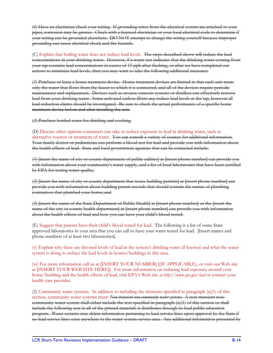(*6*) Have an electrician check your wiring. If grounding wires from the electrical system are attached to your pipes, corrosion may be greater. Check with a licensed electrician or your local electrical code to determine if your wiring can be grounded elsewhere. DO NOT attempt to change the wiring yourself because improper grounding can cause electrical shock and fire hazards.

(C) Explain that boiling water does not reduce lead levels. The steps described above will reduce the lead concentrations in your drinking water. However, if a water test indicates that the drinking water coming from your tap contains lead concentrations in excess of 15 ppb after flushing, or after we have completed our actions to minimize lead levels, then you may want to take the following additional measures:

(*1*) Purchase or lease a home treatment device. Home treatment devices are limited in that each unit treats only the water that flows from the faucet to which it is connected, and all of the devices require periodic maintenance and replacement. Devices such as reverse osmosis systems or distillers can effectively remove lead from your drinking water. Some activated carbon filters *may* reduce lead levels at the tap, however all lead reduction claims should be investigated. Be sure to check the actual performance of a specific home treatment device before and after installing the unit.

(*2*) Purchase bottled water for drinking and cooking.

#### (D) Discuss other options consumers can take to reduce exposure to lead in drinking water, such as

alternative sources or treatment of water. You can consult a variety of sources for additional information. Your family doctor or pediatrician can perform a blood test for lead and provide you with information about the health effects of lead. State and local government agencies that can be contacted include:

(*1*) [insert the name of city or county department of public utilities] at [insert phone number] can provide you with information about your community's water supply, and a list of local laboratories that have been certified by EPA for testing water quality;

(*2*) [insert the name of city or county department that issues building permits] at [insert phone number] can provide you with information about building permit records that should contain the names of plumbing contractors that plumbed your home; and

(*3*) [insert the name of the State Department of Public Health] at [insert phone number] or the [insert the name of the city or county health department] at [insert phone number] can provide you with information about the health effects of lead and how you can have your child's blood tested.

(E) Suggest that parents have their child's blood tested for lead. The following is a list of some State approved laboratories in your area that you can call to have your water tested for lead. [Insert names and phone numbers of at least two laboratories].

(v) Explain why there are elevated levels of lead in the system's drinking water (if known) and what the water system is doing to reduce the lead levels in homes/buildings in this area.

(vi) For more information call us at [INSERT YOUR NUMBER] [(IF APPLICABLE), or visit our Web site at [INSERT YOUR WEB SITE HERE]]. For more information on reducing lead exposure around your home/building and the health effects of lead, visit EPA's Web site *at http://www.epa.gov/lead* or contact your health care provider.

(2) Community water systems. In addition to including the elements specified in paragraph (a)(1) of this section, community water systems must: *Non-transient non-community water systems*. A non-transient noncommunity water system shall either include the text specified in paragraph (a)(1) of this section or shall include the following text in all of the printed materials it distributes through its lead public education program. Water systems may delete information pertaining to lead service lines upon approval by the State if no lead service lines exist anywhere in the water system service area. Any additional information presented by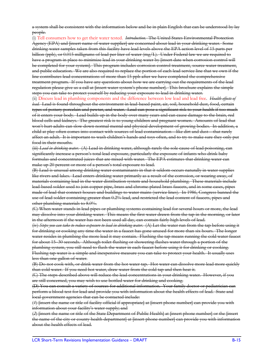a system shall be consistent with the information below and be in plain English that can be understood by lay people.

(i) Tell consumers how to get their water tested. *Introduction.* The United States Environmental Protection Agency (EPA) and [insert name of water supplier] are concerned about lead in your drinking water. Some drinking water samples taken from this facility have lead levels above the EPA action level of 15 parts per billion (ppb), or 0.015 milligrams of lead per liter of water (mg/L). Under Federal law we are required to have a program in place to minimize lead in your drinking water by [insert date when corrosion control will be completed for your system]. This program includes corrosion control treatment, source water treatment, and public education. We are also required to replace the portion of each lead service line that we own if the line contributes lead concentrations of more than 15 ppb after we have completed the comprehensive treatment program. If you have any questions about how we are carrying out the requirements of the lead regulation please give us a call at [insert water system's phone number]. This brochure explains the simple steps you can take to protect yourself by reducing your exposure to lead in drinking water.

(ii) Discuss lead in plumbing components and the difference between low lead and lead free. *Health effects of lead.* Lead is found throughout the environment in lead-based paint, air, soil, household dust, food, certain types of pottery porcelain and pewter, and water. Lead can pose a significant risk to your health if too much of it enters your body. Lead builds up in the body over many years and can cause damage to the brain, red blood cells and kidneys. The greatest risk is to young children and pregnant women. Amounts of lead that won't hurt adults can slow down normal mental and physical development of growing bodies. In addition, a child at play often comes into contact with sources of lead contamination—like dirt and dust—that rarely affect an adult. It is important to wash children's hands and toys often, and to try to make sure they only put food in their mouths.

(iii) *Lead in drinking water.* (A) Lead in drinking water, although rarely the sole cause of lead poisoning, can significantly increase a person's total lead exposure, particularly the exposure of infants who drink baby formulas and concentrated juices that are mixed with water. The EPA estimates that drinking water can make up 20 percent or more of a person's total exposure to lead.

(B) Lead is unusual among drinking water contaminants in that it seldom occurs naturally in water supplies like rivers and lakes. Lead enters drinking water primarily as a result of the corrosion, or wearing away, of materials containing lead in the water distribution system and household plumbing. These materials include lead-based solder used to join copper pipe, brass and chrome-plated brass faucets, and in some cases, pipes made of lead that connect houses and buildings to water mains (service lines). In 1986, Congress banned the use of lead solder containing greater than 0.2% lead, and restricted the lead content of faucets, pipes and other plumbing materials to 8.0%.

(C) When water stands in lead pipes or plumbing systems containing lead for several hours or more, the lead may dissolve into your drinking water. This means the first water drawn from the tap in the morning, or later in the afternoon if the water has not been used all day, can contain fairly high levels of lead.

(iv) *Steps you can take to reduce exposure to lead in drinking water.* (A) Let the water run from the tap before using it for drinking or cooking any time the water in a faucet has gone unused for more than six hours. The longer water resides in plumbing the more lead it may contain. Flushing the tap means running the cold water faucet for about 15–30 seconds. Although toilet flushing or showering flushes water through a portion of the plumbing system, you still need to flush the water in each faucet before using it for drinking or cooking. Flushing tap water is a simple and inexpensive measure you can take to protect your health. It usually uses less than one gallon of water.

(B) Do not cook with, or drink water from the hot water tap. Hot water can dissolve more lead more quickly than cold water. If you need hot water, draw water from the cold tap and then heat it.

(C) The steps described above will reduce the lead concentrations in your drinking water. However, if you are still concerned, you may wish to use bottled water for drinking and cooking.

(D) You can consult a variety of sources for additional information. Your family doctor or pediatrician can perform a blood test for lead and provide you with information about the health effects of lead. State and local government agencies that can be contacted include:

(*1*) [insert the name or title of facility official if appropriate] at [insert phone number] can provide you with information about your facility's water supply; and

(*2*) [insert the name or title of the State Department of Public Health] at [insert phone number] or the [insert the name of the city or county health department] at [insert phone number] can provide you with information about the health effects of lead.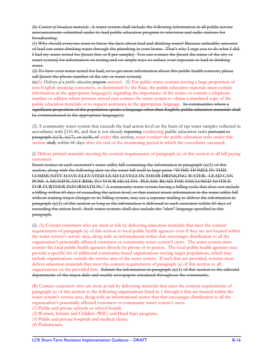(b) *Content of broadcast materials.* A water system shall include the following information in all public service announcements submitted under its lead public education program to television and radio stations for broadcasting:

(1) Why should everyone want to know the facts about lead and drinking water? Because unhealthy amounts of lead can enter drinking water through the plumbing in your home. That's why I urge you to do what I did. I had my water tested for [insert free or \$ per sample]. You can contact the [insert the name of the city or water system] for information on testing and on simple ways to reduce your exposure to lead in drinking water.

(2) To have your water tested for lead, or to get more information about this public health concern, please call [insert the phone number of the city or water system].

(c)(b) *Delivery of a public education program materials*. (1) For public water systems serving a large proportion of non-English speaking consumers, as determined by the State, the public education materials must contain information in the appropriate language(s) regarding the importance of the notice or contain a telephone number or address where persons served may contact the water system to obtain a translated copy of the public education materials or to request assistance in the appropriate language. In communities where a significant proportion of the population speaks a language other than English, public education materials shall be communicated in the appropriate language(s).

(2) A community water system that exceeds the lead action level on the basis of tap water samples collected in accordance with §141.86, and that is not already repeating conducting public education tasks pursuant to paragraph  $\left(\frac{c}{3}\right)$ ,  $\left(\frac{c}{7}\right)$ , or  $\left(\frac{c}{8}\right)$ , of under this section, must conduct the public education tasks under this section shall, within 60 days after the end of the monitoring period in which the exceedance occurred:

#### (i) Deliver printed materials meeting the content requirements of paragraph (a) of this section to all bill paying customers.

Insert notices in each customer's water utility bill containing the information in paragraph (a)(1) of this section, along with the following alert on the water bill itself in large print: "SOME HOMES IN THIS COMMUNITY HAVE ELEVATED LEAD LEVELS IN THEIR DRINKING WATER. LEAD CAN POSE A SIGNIFICANT RISK TO YOUR HEALTH. PLEASE READ THE ENCLOSED NOTICE FOR FURTHER INFORMATION." A community water system having a billing cycle that does not include a billing within 60 days of exceeding the action level, or that cannot insert information in the water utility bill without making major changes to its billing system, may use a separate mailing to deliver the information in paragraph (a)(1) of this section as long as the information is delivered to each customer within 60 days of exceeding the action level. Such water systems shall also include the "alert" language specified in this paragraph.

(ii) (A) Contact customers who are most at risk by delivering education materials that meet the content requirements of paragraph (a) of this section to local public health agencies even if they are not located within the water system's service area, along with an informational notice that encourages distribution to all the organization's potentially affected customers or community water system's users. The water system must contact the local public health agencies directly by phone or in person. The local public health agencies may provide a specific list of additional community based organizations serving target populations, which may include organizations outside the service area of the water system. If such lists are provided, systems must deliver education materials that meet the content requirements of paragraph (a) of this section to all organizations on the provided lists. Submit the information in paragraph (a)(1) of this section to the editorial departments of the major daily and weekly newspapers circulated throughout the community.

(B) Contact customers who are most at risk by delivering materials that meet the content requirements of paragraph (a) of this section to the following organizations listed in 1 through 6 that are located within the water system's service area, along with an informational notice that that encourages distribution to all the organization's potentially affected customers or community water system's users:

*(1)* Public and private schools or school boards.

- *(2)* Women, Infants and Children (WIC) and Head Start programs.
- *(3)* Public and private hospitals and medical clinics.

*(4)* Pediatricians.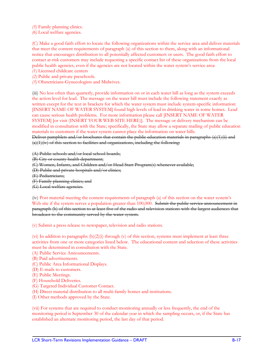*(5)* Family planning clinics.

*(6)* Local welfare agencies.

(C) Make a good faith effort to locate the following organizations within the service area and deliver materials that meet the content requirements of paragraph (a) of this section to them, along with an informational notice that encourages distribution to all potentially affected customers or users. The good faith effort to contact at-risk customers may include requesting a specific contact list of these organizations from the local public health agencies, even if the agencies are not located within the water system's service area:

*(1)* Licensed childcare centers

- *(2)* Public and private preschools.
- *(3)* Obstetricians-Gynecologists and Midwives.

(iii) No less often than quarterly, provide information on or in each water bill as long as the system exceeds the action level for lead. The message on the water bill must include the following statement exactly as written except for the text in brackets for which the water system must include system-specific information: [INSERT NAME OF WATER SYSTEM] found high levels of lead in drinking water in some homes. Lead can cause serious health problems. For more information please call [INSERT NAME OF WATER SYSTEM] [or visit (INSERT YOUR WEB SITE HERE)]. The message or delivery mechanism can be modified in consultation with the State; specifically, the State may allow a separate mailing of public education materials to customers if the water system cannot place the information on water bills.

Deliver pamphlets and/or brochures that contain the public education materials in paragraphs (a)(1)(ii) and  $(a)(1)(iv)$  of this section to facilities and organizations, including the following:

(A) Public schools and/or local school boards;

(B) City or county health department;

(C) Women, Infants, and Children and/or Head Start Program(s) whenever available;

(D) Public and private hospitals and/or clinics;

- (E) Pediatricians;
- (F) Family planning clinics; and

(G) Local welfare agencies.

(iv) Post material meeting the content requirements of paragraph (a) of this section on the water system's

Web site if the system serves a population greater than 100,000. Submit the public service announcement in paragraph (b) of this section to at least five of the radio and television stations with the largest audiences that broadcast to the community served by the water system.

(v) Submit a press release to newspaper, television and radio stations.

(vi) In addition to paragraphs  $(b)(2)(i)$  through (v) of this section, systems must implement at least three activities from one or more categories listed below. The educational content and selection of these activities must be determined in consultation with the State.

(A) Public Service Announcements.

- (B) Paid advertisements.
- (C) Public Area Informational Displays.
- (D) E-mails to customers.
- (E) Public Meetings.
- (F) Household Deliveries.
- (G) Targeted Individual Customer Contact.
- (H) Direct material distribution to all multi-family homes and institutions.
- (I) Other methods approved by the State.

(vii) For systems that are required to conduct monitoring annually or less frequently, the end of the monitoring period is September 30 of the calendar year in which the sampling occurs, or, if the State has established an alternate monitoring period, the last day of that period.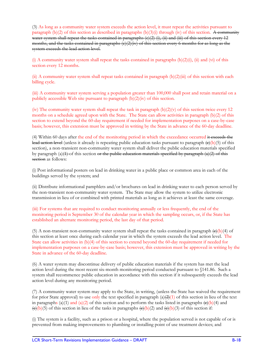(3) As long as a community water system exceeds the action level, it must repeat the activities pursuant to paragraph  $(b)(2)$  of this section as described in paragraphs  $(b)(3)(i)$  through (iv) of this section. A community water system shall repeat the tasks contained in paragraphs (c)(2) (i), (ii) and (iii) of this section every 12 months, and the tasks contained in paragraphs (c)(2)(iv) of this section every 6 months for as long as the system exceeds the lead action level.

(i) A community water system shall repeat the tasks contained in paragraphs  $(b)(2)(i)$ , (ii) and (vi) of this section every 12 months.

(ii) A community water system shall repeat tasks contained in paragraph  $(b)(2)$ (iii) of this section with each billing cycle.

(iii) A community water system serving a population greater than 100,000 shall post and retain material on a publicly accessible Web site pursuant to paragraph (b)(2)(iv) of this section.

(iv) The community water system shall repeat the task in paragraph  $(b)(2)(v)$  of this section twice every 12 months on a schedule agreed upon with the State. The State can allow activities in paragraph (b)(2) of this section to extend beyond the 60-day requirement if needed for implementation purposes on a case-by-case basis; however, this extension must be approved in writing by the State in advance of the 60-day deadline.

(4) Within 60 days after the end of the monitoring period in which the exceedance occurred it exceeds the lead action level (unless it already is repeating public education tasks pursuant to paragraph  $\left(\frac{e}{b}\right)(5)$  of this section), a non-transient non-community water system shall deliver the public education materials specified by paragraph (a) $(1)$  of this section or the public education materials specified by paragraph  $(a)(2)$  of this section as follows:

(i) Post informational posters on lead in drinking water in a public place or common area in each of the buildings served by the system; and

(ii) Distribute informational pamphlets and/or brochures on lead in drinking water to each person served by the non-transient non-community water system. The State may allow the system to utilize electronic transmission in lieu of or combined with printed materials as long as it achieves at least the same coverage.

(iii) For systems that are required to conduct monitoring annually or less frequently, the end of the monitoring period is September 30 of the calendar year in which the sampling occurs, or, if the State has established an alternate monitoring period, the last day of that period.

(5) A non-transient non-community water system shall repeat the tasks contained in paragraph  $(\theta)(\theta)$  of this section at least once during each calendar year in which the system exceeds the lead action level. The State can allow activities in (b)(4) of this section to extend beyond the 60-day requirement if needed for implementation purposes on a case-by-case basis; however, this extension must be approved in writing by the State in advance of the 60-day deadline.

(6) A water system may discontinue delivery of public education materials if the system has met the lead action level during the most recent six-month monitoring period conducted pursuant to §141.86. Such a system shall recommence public education in accordance with this section if it subsequently exceeds the lead action level during any monitoring period.

(7) A community water system may apply to the State, in writing, (unless the State has waived the requirement for prior State approval) to use only the text specified in paragraph  $(a)(2)(1)$  of this section in lieu of the text in paragraphs (a)(1) and (a)(2) of this section and to perform the tasks listed in paragraphs  $\left(\frac{e}{b}\right)(4)$  and  $\langle \Theta(\mathbf{b})(5) \rangle$  of this section in lieu of the tasks in paragraphs  $\langle \Theta(\mathbf{b})(2) \rangle$  and  $\langle \Theta(\mathbf{b})(3) \rangle$  of this section if:

(i) The system is a facility, such as a prison or a hospital, where the population served is not capable of or is prevented from making improvements to plumbing or installing point of use treatment devices; and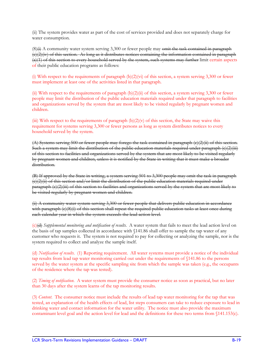(ii) The system provides water as part of the cost of services provided and does not separately charge for water consumption.

 $(8)$ <sup> $\leftrightarrow$ </sup> A community water system serving 3,300 or fewer people may omit the task contained in paragraph  $\langle e \rangle$ (2)(iv) of this section. As long as it distributes notices containing the information contained in paragraph  $(a)(1)$  of this section to every household served by the system, such systems may further limit certain aspects of their public education programs as follows:

(i) With respect to the requirements of paragraph (b)(2)(vi) of this section, a system serving 3,300 or fewer must implement at least one of the activities listed in that paragraph.

(ii) With respect to the requirements of paragraph (b)(2)(ii) of this section, a system serving 3,300 or fewer people may limit the distribution of the public education materials required under that paragraph to facilities and organizations served by the system that are most likely to be visited regularly by pregnant women and children.

(iii) With respect to the requirements of paragraph  $(b)(2)(v)$  of this section, the State may waive this requirement for systems serving 3,300 or fewer persons as long as system distributes notices to every household served by the system.

(A) Systems serving 500 or fewer people may forego the task contained in paragraph (c)(2)(ii) of this section. Such a system may limit the distribution of the public education materials required under paragraph (c)(2)(iii) of this section to facilities and organizations served by the system that are most likely to be visited regularly by pregnant women and children, unless it is notified by the State in writing that it must make a broader distribution.

(B) If approved by the State in writing, a system serving 501 to 3,300 people may omit the task in paragraph  $\langle e \rangle$ (2)(ii) of this section and/or limit the distribution of the public education materials required under paragraph (c)(2)(iii) of this section to facilities and organizations served by the system that are most likely to be visited regularly by pregnant women and children.

(ii) A community water system serving 3,300 or fewer people that delivers public education in accordance with paragraph (e)(8)(i) of this section shall repeat the required public education tasks at least once during each calendar year in which the system exceeds the lead action level.

(c)(d) *Supplemental monitoring and notification of results*. A water system that fails to meet the lead action level on the basis of tap samples collected in accordance with §141.86 shall offer to sample the tap water of any customer who requests it. The system is not required to pay for collecting or analyzing the sample, nor is the system required to collect and analyze the sample itself.

(d) *Notification of results*. (1) Reporting requirement. All water systems must provide a notice of the individual tap results from lead tap water monitoring carried out under the requirements of §141.86 to the persons served by the water system at the specific sampling site from which the sample was taken (e.g., the occupants of the residence where the tap was tested).

(2) *Timing of notification*. A water system must provide the consumer notice as soon as practical, but no later than 30 days after the system learns of the tap monitoring results.

(3) *Content*. The consumer notice must include the results of lead tap water monitoring for the tap that was tested, an explanation of the health effects of lead, list steps consumers can take to reduce exposure to lead in drinking water and contact information for the water utility. The notice must also provide the maximum contaminant level goal and the action level for lead and the definitions for these two terms from §141.153(c).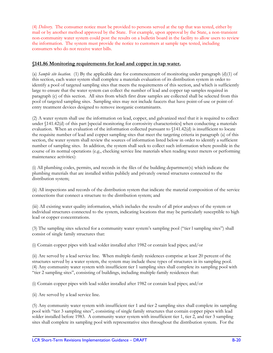(4) *Delivery*. The consumer notice must be provided to persons served at the tap that was tested, either by mail or by another method approved by the State. For example, upon approval by the State, a non-transient non-community water system could post the results on a bulletin board in the facility to allow users to review the information. The system must provide the notice to customers at sample taps tested, including consumers who do not receive water bills.

#### **§141.86 Monitoring requirements for lead and copper in tap water.**

(a) *Sample site location*. (1) By the applicable date for commencement of monitoring under paragraph (d)(1) of this section, each water system shall complete a materials evaluation of its distribution system in order to identify a pool of targeted sampling sites that meets the requirements of this section, and which is sufficiently large to ensure that the water system can collect the number of lead and copper tap samples required in paragraph (c) of this section. All sites from which first draw samples are collected shall be selected from this pool of targeted sampling sites. Sampling sites may not include faucets that have point-of-use or point-ofentry treatment devices designed to remove inorganic contaminants.

(2) A water system shall use the information on lead, copper, and galvanized steel that it is required to collect under §141.42(d) of this part [special monitoring for corrosivity characteristics] when conducting a materials evaluation. When an evaluation of the information collected pursuant to §141.42(d) is insufficient to locate the requisite number of lead and copper sampling sites that meet the targeting criteria in paragraph (a) of this section, the water system shall review the sources of information listed below in order to identify a sufficient number of sampling sites. In addition, the system shall seek to collect such information where possible in the course of its normal operations (e.g., checking service line materials when reading water meters or performing maintenance activities):

(i) All plumbing codes, permits, and records in the files of the building department(s) which indicate the plumbing materials that are installed within publicly and privately owned structures connected to the distribution system;

(ii) All inspections and records of the distribution system that indicate the material composition of the service connections that connect a structure to the distribution system; and

(iii) All existing water quality information, which includes the results of all prior analyses of the system or individual structures connected to the system, indicating locations that may be particularly susceptible to high lead or copper concentrations.

(3) The sampling sites selected for a community water system's sampling pool ("tier l sampling sites") shall consist of single family structures that:

(i) Contain copper pipes with lead solder installed after 1982 or contain lead pipes; and/or

(ii) Are served by a lead service line. When multiple-family residences comprise at least 20 percent of the structures served by a water system, the system may include these types of structures in its sampling pool. (4) Any community water system with insufficient tier 1 sampling sites shall complete its sampling pool with "tier 2 sampling sites", consisting of buildings, including multiple-family residences that:

(i) Contain copper pipes with lead solder installed after 1982 or contain lead pipes; and/or

(ii) Are served by a lead service line.

(5) Any community water system with insufficient tier 1 and tier 2 sampling sites shall complete its sampling pool with "tier 3 sampling sites", consisting of single family structures that contain copper pipes with lead solder installed before 1983. A community water system with insufficient tier 1, tier 2, and tier 3 sampling sites shall complete its sampling pool with representative sites throughout the distribution system. For the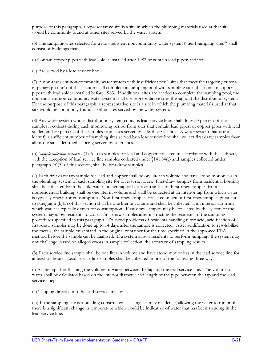purpose of this paragraph, a representative site is a site in which the plumbing materials used at that site would be commonly found at other sites served by the water system.

(6) The sampling sites selected for a non-transient noncommunity water system ("tier l sampling sites") shall consist of buildings that:

(i) Contain copper pipes with lead solder installed after 1982 or contain lead pipes; and/or

(ii) Are served by a lead service line.

(7) A non-transient non-community water system with insufficient tier 1 sites that meet the targeting criteria in paragraph (a)(6) of this section shall complete its sampling pool with sampling sites that contain copper pipes with lead solder installed before 1983. If additional sites are needed to complete the sampling pool, the non-transient non-community water system shall use representative sites throughout the distribution system. For the purpose of this paragraph, a representative site is a site in which the plumbing materials used at that site would be commonly found at other sites served by the water system.

(8) Any water system whose distribution system contains lead service lines shall draw 50 percent of the samples it collects during each monitoring period from sites that contain lead pipes, or copper pipes with lead solder, and 50 percent of the samples from sites served by a lead service line. A water system that cannot identify a sufficient number of sampling sites served by a lead service line shall collect first draw samples from all of the sites identified as being served by such lines.

(b) *Sample collection methods*. (1) All tap samples for lead and copper collected in accordance with this subpart, with the exception of lead service line samples collected under §141.84(c) and samples collected under paragraph (b)(5) of this section, shall be first draw samples.

(2) Each first draw tap sample for lead and copper shall be one liter in volume and have stood motionless in the plumbing system of each sampling site for at least six hours. First-draw samples from residential housing shall be collected from the cold water kitchen tap or bathroom sink tap. First-draw samples from a nonresidential building shall be one liter in volume and shall be collected at an interior tap from which water is typically drawn for consumption. Non-first-draw samples collected in lieu of first-draw samples pursuant to paragraph (b)(5) of this section shall be one liter in volume and shall be collected at an interior tap from which water is typically drawn for consumption. First-draw samples may be collected by the system or the system may allow residents to collect first-draw samples after instructing the residents of the sampling procedures specified in this paragraph. To avoid problems of residents handling nitric acid, acidification of first-draw samples may be done up to 14 days after the sample is collected. After acidification to resolubilize the metals, the sample must stand in the original container for the time specified in the approved EPA method before the sample can be analyzed. If a system allows residents to perform sampling, the system may not challenge, based on alleged errors in sample collection, the accuracy of sampling results.

(3) Each service line sample shall be one liter in volume and have stood motionless in the lead service line for at least six hours. Lead service line samples shall be collected in one of the following three ways:

(i) At the tap after flushing the volume of water between the tap and the lead service line. The volume of water shall be calculated based on the interior diameter and length of the pipe between the tap and the lead service line;

(ii) Tapping directly into the lead service line; or

(iii) If the sampling site is a building constructed as a single-family residence, allowing the water to run until there is a significant change in temperature which would be indicative of water that has been standing in the lead service line.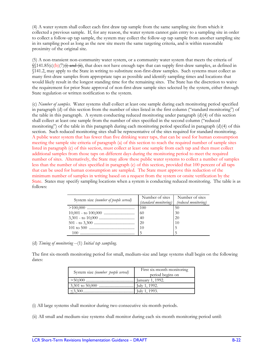(4) A water system shall collect each first draw tap sample from the same sampling site from which it collected a previous sample. If, for any reason, the water system cannot gain entry to a sampling site in order to collect a follow-up tap sample, the system may collect the follow-up tap sample from another sampling site in its sampling pool as long as the new site meets the same targeting criteria, and is within reasonable proximity of the original site.

(5) A non-transient non-community water system, or a community water system that meets the criteria of  $\frac{1}{2}$  (141.85(c)(b)(7)(i) and (ii), that does not have enough taps that can supply first-draw samples, as defined in §141.2, may apply to the State in writing to substitute non-first-draw samples. Such systems must collect as many first-draw samples from appropriate taps as possible and identify sampling times and locations that would likely result in the longest standing time for the remaining sites. The State has the discretion to waive the requirement for prior State approval of non-first-draw sample sites selected by the system, either through State regulation or written notification to the system.

(c) *Number of samples*. Water systems shall collect at least one sample during each monitoring period specified in paragraph (d) of this section from the number of sites listed in the first column ("standard monitoring") of the table in this paragraph. A system conducting reduced monitoring under paragraph  $(d)(4)$  of this section shall collect at least one sample from the number of sites specified in the second column ("reduced monitoring") of the table in this paragraph during each monitoring period specified in paragraph (d)(4) of this section. Such reduced monitoring sites shall be representative of the sites required for standard monitoring. A public water system that has fewer than five drinking water taps, that can be used for human consumption meeting the sample site criteria of paragraph (a) of this section to reach the required number of sample sites listed in paragraph (c) of this section, must collect at least one sample from each tap and then must collect additional samples from those taps on different days during the monitoring period to meet the required number of sites. Alternatively, the State may allow these public water systems to collect a number of samples less than the number of sites specified in paragraph (c) of this section, provided that 100 percent of all taps that can be used for human consumption are sampled. The State must approve this reduction of the minimum number of samples in writing based on a request from the system or onsite verification by the State. States may specify sampling locations when a system is conducting reduced monitoring. The table is as follows:

| System size (number of people served) | Number of sites       | Number of sites      |
|---------------------------------------|-----------------------|----------------------|
|                                       | (standard monitoring) | (reduced monitoring) |
|                                       |                       | 50                   |
|                                       | <b>60</b>             | 30                   |
|                                       |                       | <b>20</b>            |
|                                       |                       | 10                   |
|                                       | <b>110</b>            |                      |
| 100                                   |                       |                      |

(d) *Timing of monitoring* --(1) *Initial tap sampling.* 

The first six-month monitoring period for small, medium-size and large systems shall begin on the following dates:

| System size (number people served) | First six-month monitoring<br>period begins on |
|------------------------------------|------------------------------------------------|
|                                    |                                                |
|                                    |                                                |
|                                    | July 1, 1993.                                  |

(i) All large systems shall monitor during two consecutive six-month periods.

(ii) All small and medium-size systems shall monitor during each six-month monitoring period until: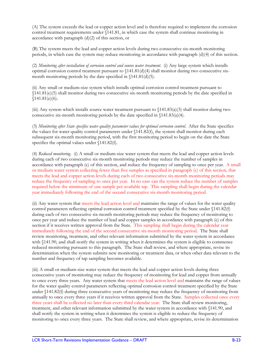(A) The system exceeds the lead or copper action level and is therefore required to implement the corrosion control treatment requirements under §141.81, in which case the system shall continue monitoring in accordance with paragraph  $(d)(2)$  of this section, or

(B) The system meets the lead and copper action levels during two consecutive six-month monitoring periods, in which case the system may reduce monitoring in accordance with paragraph (d)(4) of this section.

(2) *Monitoring after installation of corrosion control and source water treatment*. (i) Any large system which installs optimal corrosion control treatment pursuant to  $\frac{141.81(d)}{4}$  shall monitor during two consecutive sixmonth monitoring periods by the date specified in  $(141.81(d)(5))$ .

(ii) Any small or medium-size system which installs optimal corrosion control treatment pursuant to §141.81(e)(5) shall monitor during two consecutive six-month monitoring periods by the date specified in  $$141.81(e)(6).$ 

(iii) Any system which installs source water treatment pursuant to §141.83(a)(3) shall monitor during two consecutive six-month monitoring periods by the date specified in §141.83(a)(4).

(3) *Monitoring after State specifies water quality parameter values for optimal corrosion control*. After the State specifies the values for water quality control parameters under §141.82(f), the system shall monitor during each subsequent six-month monitoring period, with the first monitoring period to begin on the date the State specifies the optimal values under  $\langle 141.82(f) \rangle$ .

(4) *Reduced monitoring*. (i) A small or medium-size water system that meets the lead and copper action levels during each of two consecutive six-month monitoring periods may reduce the number of samples in accordance with paragraph (c) of this section, and reduce the frequency of sampling to once per year. A small or medium water system collecting fewer than five samples as specified in paragraph (c) of this section, that meets the lead and copper action levels during each of two consecutive six-month monitoring periods may reduce the frequency of sampling to once per year. In no case can the system reduce the number of samples required below the minimum of one sample per available tap. This sampling shall begin during the calendar year immediately following the end of the second consecutive six-month monitoring period.

(ii) Any water system that meets the lead action level and maintains the range of values for the water quality control parameters reflecting optimal corrosion control treatment specified by the State under §141.82(f) during each of two consecutive six-month monitoring periods may reduce the frequency of monitoring to once per year and reduce the number of lead and copper samples in accordance with paragraph (c) of this section if it receives written approval from the State. This sampling shall begin during the calendar year immediately following the end of the second consecutive six-month monitoring period. The State shall review monitoring, treatment, and other relevant information submitted by the water system in accordance with  $$141.90$ , and shall notify the system in writing when it determines the system is eligible to commence reduced monitoring pursuant to this paragraph. The State shall review, and where appropriate, revise its determination when the system submits new monitoring or treatment data, or when other data relevant to the number and frequency of tap sampling becomes available.

(iii) A small or medium-size water system that meets the lead and copper action levels during three consecutive years of monitoring may reduce the frequency of monitoring for lead and copper from annually to once every three years. Any water system that meets the lead action level and maintains the range of values for the water quality control parameters reflecting optimal corrosion control treatment specified by the State under §141.82(f) during three consecutive years of monitoring may reduce the frequency of monitoring from annually to once every three years if it receives written approval from the State. Samples collected once every three years shall be collected no later than every third calendar year. The State shall review monitoring, treatment, and other relevant information submitted by the water system in accordance with §141.90, and shall notify the system in writing when it determines the system is eligible to reduce the frequency of monitoring to once every three years. The State shall review, and where appropriate, revise its determination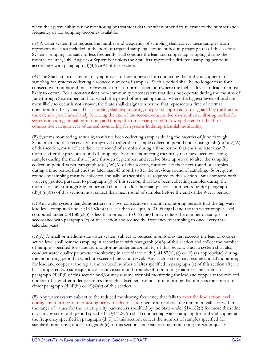when the system submits new monitoring or treatment data, or when other data relevant to the number and frequency of tap sampling becomes available.

(iv) A water system that reduces the number and frequency of sampling shall collect these samples from representative sites included in the pool of targeted sampling sites identified in paragraph (a) of this section. Systems sampling annually or less frequently shall conduct the lead and copper tap sampling during the months of June, July, August or September unless the State has approved a different sampling period in accordance with paragraph  $(d)(4)(iv)(A)$  of this section.

(A) The State, at its discretion, may approve a different period for conducting the lead and copper tap sampling for systems collecting a reduced number of samples. Such a period shall be no longer than four consecutive months and must represent a time of normal operation where the highest levels of lead are most likely to occur. For a non-transient non-community water system that does not operate during the months of June through September, and for which the period of normal operation where the highest levels of lead are most likely to occur is not known, the State shall designate a period that represents a time of normal operation for the system. This sampling shall begin during the period approved or designated by the State in the calendar year immediately following the end of the second consecutive six-month monitoring period for systems initiating annual monitoring and during the three-year period following the end of the third consecutive calendar year of annual monitoring for systems initiating triennial monitoring.

(B) Systems monitoring annually, that have been collecting samples during the months of June through September and that receive State approval to alter their sample collection period under paragraph  $(d)(4)(iv)(A)$ of this section, must collect their next round of samples during a time period that ends no later than 21 months after the previous round of sampling. Systems monitoring triennially that have been collecting samples during the months of June through September, and receive State approval to alter the sampling collection period as per paragraph  $(d)(4)(iv)(A)$  of this section, must collect their next round of samples during a time period that ends no later than 45 months after the previous round of sampling. Subsequent rounds of sampling must be collected annually or triennially, as required by this section. Small systems with waivers, granted pursuant to paragraph (g) of this section, that have been collecting samples during the months of June through September and choose to alter their sample collection period under paragraph  $(d)(4)(iv)(A)$  of this section must collect their next round of samples before the end of the 9-year period.

(v) Any water system that demonstrates for two consecutive 6-month monitoring periods that the tap water lead level computed under  $(141.80(c)(3))$  is less than or equal to 0.005 mg/L and the tap water copper level computed under  $(141.80(c)(3)$  is less than or equal to 0.65 mg/L may reduce the number of samples in accordance with paragraph (c) of this section and reduce the frequency of sampling to once every three calendar years.

(vi)(A) A small or medium-size water system subject to reduced monitoring that exceeds the lead or copper action level shall resume sampling in accordance with paragraph (d)(3) of this section and collect the number of samples specified for standard monitoring under paragraph (c) of this section. Such a system shall also conduct water quality parameter monitoring in accordance with §141.87(b), (c) or (d) (as appropriate) during the monitoring period in which it exceeded the action level. Any such system may resume annual monitoring for lead and copper at the tap at the reduced number of sites specified in paragraph (c) of this section after it has completed two subsequent consecutive six-month rounds of monitoring that meet the criteria of paragraph  $(d)(4)(i)$  of this section and/or may resume triennial monitoring for lead and copper at the reduced number of sites after it demonstrates through subsequent rounds of monitoring that it meets the criteria of either paragraph  $(d)(4)(iii)$  or  $(d)(4)(v)$  of this section.

(B) Any water system subject to the reduced monitoring frequency that fails to meet the lead action level during any four-month monitoring period or that fails to operate at or above the minimum value or within the range of values for the water quality parameters specified by the State under §141.82(f) for more than nine days in any six-month period specified in §141.87(d) shall conduct tap water sampling for lead and copper at the frequency specified in paragraph (d)(3) of this section, collect the number of samples specified for standard monitoring under paragraph (c) of this section, and shall resume monitoring for water quality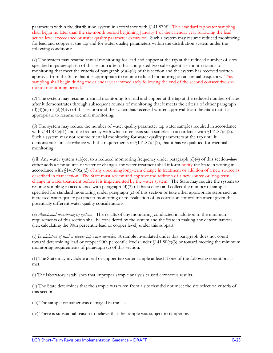parameters within the distribution system in accordance with §141.87(d). This standard tap water sampling shall begin no later than the six-month period beginning January 1 of the calendar year following the lead action level exceedance or water quality parameter excursion. Such a system may resume reduced monitoring for lead and copper at the tap and for water quality parameters within the distribution system under the following conditions:

(*1*) The system may resume annual monitoring for lead and copper at the tap at the reduced number of sites specified in paragraph (c) of this section after it has completed two subsequent six-month rounds of monitoring that meet the criteria of paragraph (d)(4)(ii) of this section and the system has received written approval from the State that it is appropriate to resume reduced monitoring on an annual frequency. This sampling shall begin during the calendar year immediately following the end of the second consecutive sixmonth monitoring period.

(*2*) The system may resume triennial monitoring for lead and copper at the tap at the reduced number of sites after it demonstrates through subsequent rounds of monitoring that it meets the criteria of either paragraph  $(d)(4)(iii)$  or  $(d)(4)(v)$  of this section and the system has received written approval from the State that it is appropriate to resume triennial monitoring.

(*3*) The system may reduce the number of water quality parameter tap water samples required in accordance with  $\{141.87(e)(1)$  and the frequency with which it collects such samples in accordance with  $\{141.87(e)(2)$ . Such a system may not resume triennial monitoring for water quality parameters at the tap until it demonstrates, in accordance with the requirements of  $\{141.87(e)/2\}$ , that it has re-qualified for triennial monitoring.

(vii) Any water system subject to a reduced monitoring frequency under paragraph  $(d)(4)$  of this section that either adds a new source of water or changes any water treatment shall inform notify the State in writing in accordance with  $\langle 141.90(a)(3)$  of any upcoming long-term change in treatment or addition of a new source as described in that section. The State must review and approve the addition of a new source or long-term change in water treatment before it is implemented by the water system. The State may require the system to resume sampling in accordance with paragraph (d)(3) of this section and collect the number of samples specified for standard monitoring under paragraph (c) of this section or take other appropriate steps such as increased water quality parameter monitoring or re-evaluation of its corrosion control treatment given the potentially different water quality considerations.

(e) *Additional monitoring by systems*. The results of any monitoring conducted in addition to the minimum requirements of this section shall be considered by the system and the State in making any determinations (i.e., calculating the 90th percentile lead or copper level) under this subpart.

(f) *Invalidation of lead or copper tap water samples.* A sample invalidated under this paragraph does not count toward determining lead or copper 90th percentile levels under §141.80(c)(3) or toward meeting the minimum monitoring requirements of paragraph (c) of this section.

(1) The State may invalidate a lead or copper tap water sample at least if one of the following conditions is met.

(i) The laboratory establishes that improper sample analysis caused erroneous results.

(ii) The State determines that the sample was taken from a site that did not meet the site selection criteria of this section.

(iii) The sample container was damaged in transit.

(iv) There is substantial reason to believe that the sample was subject to tampering.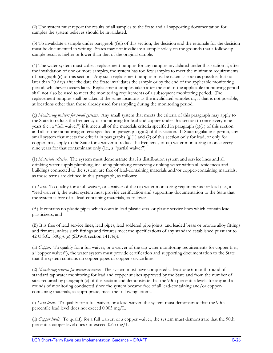(2) The system must report the results of all samples to the State and all supporting documentation for samples the system believes should be invalidated.

(3) To invalidate a sample under paragraph (f)(l) of this section, the decision and the rationale for the decision must be documented in writing. States may not invalidate a sample solely on the grounds that a follow-up sample result is higher or lower than that of the original sample.

(4) The water system must collect replacement samples for any samples invalidated under this section if, after the invalidation of one or more samples, the system has too few samples to meet the minimum requirements of paragraph (c) of this section. Any such replacement samples must be taken as soon as possible, but no later than 20 days after the date the State invalidates the sample or by the end of the applicable monitoring period, whichever occurs later. Replacement samples taken after the end of the applicable monitoring period shall not also be used to meet the monitoring requirements of a subsequent monitoring period. The replacement samples shall be taken at the same locations as the invalidated samples or, if that is not possible, at locations other than those already used for sampling during the monitoring period.

(g) *Monitoring waivers for small systems*. Any small system that meets the criteria of this paragraph may apply to the State to reduce the frequency of monitoring for lead and copper under this section to once every nine years (i.e., a "full waiver") if it meets all of the materials criteria specified in paragraph  $(g)(1)$  of this section and all of the monitoring criteria specified in paragraph  $(g)(2)$  of this section. If State regulations permit, any small system that meets the criteria in paragraphs (g)(1) and (2) of this section only for lead, or only for copper, may apply to the State for a waiver to reduce the frequency of tap water monitoring to once every nine years for that contaminant only (i.e., a "partial waiver").

(1) *Materials criteria*. The system must demonstrate that its distribution system and service lines and all drinking water supply plumbing, including plumbing conveying drinking water within all residences and buildings connected to the system, are free of lead-containing materials and/or copper-containing materials, as those terms are defined in this paragraph, as follows:

(i) *Lead*. To qualify for a full waiver, or a waiver of the tap water monitoring requirements for lead (i.e., a "lead waiver"), the water system must provide certification and supporting documentation to the State that the system is free of all lead-containing materials, as follows:

(A) It contains no plastic pipes which contain lead plasticizers, or plastic service lines which contain lead plasticizers; and

(B) It is free of lead service lines, lead pipes, lead soldered pipe joints, and leaded brass or bronze alloy fittings and fixtures, unless such fittings and fixtures meet the specifications of any standard established pursuant to 42 U.S.C. 300g-6(e) (SDWA section 1417(e)).

(ii) *Copper*. To qualify for a full waiver, or a waiver of the tap water monitoring requirements for copper (i.e., a "copper waiver"), the water system must provide certification and supporting documentation to the State that the system contains no copper pipes or copper service lines.

(2) *Monitoring criteria for waiver issuance*. The system must have completed at least one 6-month round of standard tap water monitoring for lead and copper at sites approved by the State and from the number of sites required by paragraph (c) of this section and demonstrate that the 90th percentile levels for any and all rounds of monitoring conducted since the system became free of all lead-containing and/or coppercontaining materials, as appropriate, meet the following criteria.

(i) *Lead levels*. To qualify for a full waiver, or a lead waiver, the system must demonstrate that the 90th percentile lead level does not exceed 0.005 mg/L.

(ii) *Copper levels*. To qualify for a full waiver, or a copper waiver, the system must demonstrate that the 90th percentile copper level does not exceed 0.65 mg/L.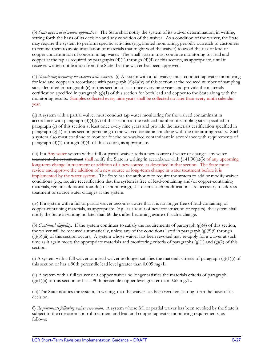(3) *State approval of waiver application*. The State shall notify the system of its waiver determination, in writing, setting forth the basis of its decision and any condition of the waiver. As a condition of the waiver, the State may require the system to perform specific activities (e.g., limited monitoring, periodic outreach to customers to remind them to avoid installation of materials that might void the waiver) to avoid the risk of lead or copper concentration of concern in tap water. The small system must continue monitoring for lead and copper at the tap as required by paragraphs  $(d)(1)$  through  $(d)(4)$  of this section, as appropriate, until it receives written notification from the State that the waiver has been approved.

(4) *Monitoring frequency for systems with waivers*. (i) A system with a full waiver must conduct tap water monitoring for lead and copper in accordance with paragraph  $(d)(4)(iv)$  of this section at the reduced number of sampling sites identified in paragraph (c) of this section at least once every nine years and provide the materials certification specified in paragraph  $(g)(1)$  of this section for both lead and copper to the State along with the monitoring results. Samples collected every nine years shall be collected no later than every ninth calendar year.

(ii) A system with a partial waiver must conduct tap water monitoring for the waived contaminant in accordance with paragraph  $(d)(4)(iv)$  of this section at the reduced number of sampling sites specified in paragraph (c) of this section at least once every nine years and provide the materials certification specified in paragraph  $(g)(1)$  of this section pertaining to the waived contaminant along with the monitoring results. Such a system also must continue to monitor for the non-waived contaminant in accordance with requirements of paragraph  $(d)(1)$  through  $(d)(4)$  of this section, as appropriate.

(iii) If a Any water system with a full or partial waiver adds a new source of water or changes any water treatment, the system must shall notify the State in writing in accordance with §141.90(a)(3) of any upcoming long-term change in treatment or addition of a new source, as described in that section. The State must review and approve the addition of a new source or long-term change in water treatment before it is implemented by the water system. The State has the authority to require the system to add or modify waiver conditions (e.g., require recertification that the system is free of lead-containing and/or copper-containing materials, require additional round(s) of monitoring), if it deems such modifications are necessary to address treatment or source water changes at the system.

(iv) If a system with a full or partial waiver becomes aware that it is no longer free of lead-containing or copper-containing materials, as appropriate, (e.g., as a result of new construction or repairs), the system shall notify the State in writing no later than 60 days after becoming aware of such a change.

(5) *Continued eligibility*. If the system continues to satisfy the requirements of paragraph (g)(4) of this section, the waiver will be renewed automatically, unless any of the conditions listed in paragraph  $(g)(5)(i)$  through  $(g)(5)(iii)$  of this section occurs. A system whose waiver has been revoked may re-apply for a waiver at such time as it again meets the appropriate materials and monitoring criteria of paragraphs  $(g)(1)$  and  $(g)(2)$  of this section.

(i) A system with a full waiver or a lead waiver no longer satisfies the materials criteria of paragraph  $(g)(1)(i)$  of this section or has a 90th percentile lead level greater than 0.005 mg/L.

(ii) A system with a full waiver or a copper waiver no longer satisfies the materials criteria of paragraph  $(g)(1)(ii)$  of this section or has a 90th percentile copper level greater than 0.65 mg/L.

(iii) The State notifies the system, in writing, that the waiver has been revoked, setting forth the basis of its decision.

6) *Requirements following waiver revocation*. A system whose full or partial waiver has been revoked by the State is subject to the corrosion control treatment and lead and copper tap water monitoring requirements, as follows: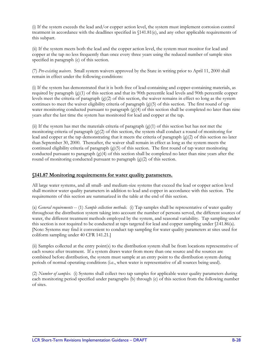(i) If the system exceeds the lead and/or copper action level, the system must implement corrosion control treatment in accordance with the deadlines specified in §141.81(e), and any other applicable requirements of this subpart.

(ii) If the system meets both the lead and the copper action level, the system must monitor for lead and copper at the tap no less frequently than once every three years using the reduced number of sample sites specified in paragraph (c) of this section.

(7) *Pre-existing waivers*. Small system waivers approved by the State in writing prior to April 11, 2000 shall remain in effect under the following conditions:

(i) If the system has demonstrated that it is both free of lead-containing and copper-containing materials, as required by paragraph (g)(1) of this section and that its 90th percentile lead levels and 90th percentile copper levels meet the criteria of paragraph  $(g)(2)$  of this section, the waiver remains in effect so long as the system continues to meet the waiver eligibility criteria of paragraph (g)(5) of this section. The first round of tap water monitoring conducted pursuant to paragraph (g)(4) of this section shall be completed no later than nine years after the last time the system has monitored for lead and copper at the tap.

(ii) If the system has met the materials criteria of paragraph  $(g)(1)$  of this section but has not met the monitoring criteria of paragraph  $(g)(2)$  of this section, the system shall conduct a round of monitoring for lead and copper at the tap demonstrating that it meets the criteria of paragraph (g)(2) of this section no later than September 30, 2000. Thereafter, the waiver shall remain in effect as long as the system meets the continued eligibility criteria of paragraph (g)(5) of this section. The first round of tap water monitoring conducted pursuant to paragraph  $(g)(4)$  of this section shall be completed no later than nine years after the round of monitoring conducted pursuant to paragraph (g)(2) of this section.

#### **§141.87 Monitoring requirements for water quality parameters.**

All large water systems, and all small- and medium-size systems that exceed the lead or copper action level shall monitor water quality parameters in addition to lead and copper in accordance with this section. The requirements of this section are summarized in the table at the end of this section.

(a) *General requirements* -- (1) *Sample collection methods*. (i) Tap samples shall be representative of water quality throughout the distribution system taking into account the number of persons served, the different sources of water, the different treatment methods employed by the system, and seasonal variability. Tap sampling under this section is not required to be conducted at taps targeted for lead and copper sampling under §141.86(a). [Note: Systems may find it convenient to conduct tap sampling for water quality parameters at sites used for coliform sampling under 40 CFR 141.21.]

(ii) Samples collected at the entry point(s) to the distribution system shall be from locations representative of each source after treatment. If a system draws water from more than one source and the sources are combined before distribution, the system must sample at an entry point to the distribution system during periods of normal operating conditions (i.e., when water is representative of all sources being used).

(2) *Number of samples*. (i) Systems shall collect two tap samples for applicable water quality parameters during each monitoring period specified under paragraphs (b) through (e) of this section from the following number of sites.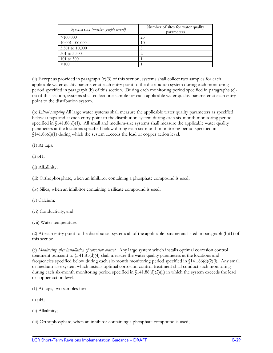| System size (number people served) | Number of sites for water quality<br>parameters |  |
|------------------------------------|-------------------------------------------------|--|
| >100,000                           | 25                                              |  |
| 10,001-100,000                     | 10                                              |  |
| 3,301 to 10,000                    | 3                                               |  |
| 501 to 3,300                       |                                                 |  |
| $101 \text{ to } 500$              |                                                 |  |
| < 100                              |                                                 |  |

(ii) Except as provided in paragraph (c)(3) of this section, systems shall collect two samples for each applicable water quality parameter at each entry point to the distribution system during each monitoring period specified in paragraph (b) of this section. During each monitoring period specified in paragraphs (c)- (e) of this section, systems shall collect one sample for each applicable water quality parameter at each entry point to the distribution system.

(b) *Initial sampling* All large water systems shall measure the applicable water quality parameters as specified below at taps and at each entry point to the distribution system during each six-month monitoring period specified in  $$141.86(d)(1)$ . All small and medium-size systems shall measure the applicable water quality parameters at the locations specified below during each six-month monitoring period specified in §141.86(d)(1) during which the system exceeds the lead or copper action level.

(1) At taps:

 $(i)$  pH;

(ii) Alkalinity;

(iii) Orthophosphate, when an inhibitor containing a phosphate compound is used;

(iv) Silica, when an inhibitor containing a silicate compound is used;

(v) Calcium;

(vi) Conductivity; and

(vii) Water temperature.

(2) At each entry point to the distribution system: all of the applicable parameters listed in paragraph (b)(1) of this section.

(c) *Monitoring after installation of corrosion control*. Any large system which installs optimal corrosion control treatment pursuant to  $\{141.81(d)(4)$  shall measure the water quality parameters at the locations and frequencies specified below during each six-month monitoring period specified in §141.86(d)(2)(i). Any small or medium-size system which installs optimal corrosion control treatment shall conduct such monitoring during each six-month monitoring period specified in  $(141.86(d)(2)(ii)$  in which the system exceeds the lead or copper action level.

(1) At taps, two samples for:

 $(i)$  pH;

(ii) Alkalinity;

(iii) Orthophosphate, when an inhibitor containing a phosphate compound is used;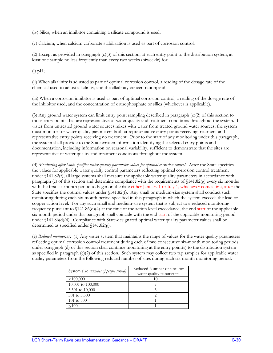(iv) Silica, when an inhibitor containing a silicate compound is used;

(v) Calcium, when calcium carbonate stabilization is used as part of corrosion control.

(2) Except as provided in paragraph (c)(3) of this section, at each entry point to the distribution system, at least one sample no less frequently than every two weeks (biweekly) for:

 $(i)$  pH;

(ii) When alkalinity is adjusted as part of optimal corrosion control, a reading of the dosage rate of the chemical used to adjust alkalinity, and the alkalinity concentration; and

(iii) When a corrosion inhibitor is used as part of optimal corrosion control, a reading of the dosage rate of the inhibitor used, and the concentration of orthophosphate or silica (whichever is applicable).

(3) Any ground water system can limit entry point sampling described in paragraph (c)(2) of this section to those entry points that are representative of water quality and treatment conditions throughout the system. If water from untreated ground water sources mixes with water from treated ground water sources, the system must monitor for water quality parameters both at representative entry points receiving treatment and representative entry points receiving no treatment. Prior to the start of any monitoring under this paragraph, the system shall provide to the State written information identifying the selected entry points and documentation, including information on seasonal variability, sufficient to demonstrate that the sites are representative of water quality and treatment conditions throughout the system.

(d) *Monitoring after State specifies water quality parameter values for optimal corrosion control*. After the State specifies the values for applicable water quality control parameters reflecting optimal corrosion control treatment under §141.82(f), all large systems shall measure the applicable water quality parameters in accordance with paragraph (c) of this section and determine compliance with the requirements of  $\{141.82(g)$  every six months with the first six-month period to begin on the date either January 1 or July 1, whichever comes first, after the State specifies the optimal values under §141.82(f). Any small or medium-size system shall conduct such monitoring during each six-month period specified in this paragraph in which the system exceeds the lead or copper action level. For any such small and medium-size system that is subject to a reduced monitoring frequency pursuant to  $\{141.86(d)(4)$  at the time of the action level exceedance, the end start of the applicable six-month period under this paragraph shall coincide with the end start of the applicable monitoring period under §141.86(d)(4). Compliance with State-designated optimal water quality parameter values shall be determined as specified under §141.82(g).

(e) *Reduced monitoring*. (1) Any water system that maintains the range of values for the water quality parameters reflecting optimal corrosion control treatment during each of two consecutive six-month monitoring periods under paragraph (d) of this section shall continue monitoring at the entry point(s) to the distribution system as specified in paragraph  $(c)(2)$  of this section. Such system may collect two tap samples for applicable water quality parameters from the following reduced number of sites during each six-month monitoring period.

| System size (number of people served) | Reduced Number of sites for<br>water quality parameters |  |
|---------------------------------------|---------------------------------------------------------|--|
| >100,000                              |                                                         |  |
| 10,001 to 100,000                     |                                                         |  |
| 3,301 to 10,000                       |                                                         |  |
| 501 to 3,300                          |                                                         |  |
| 101 to $500$                          |                                                         |  |
|                                       |                                                         |  |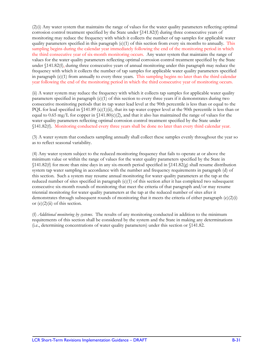(2)(i) Any water system that maintains the range of values for the water quality parameters reflecting optimal corrosion control treatment specified by the State under §141.82(f) during three consecutive years of monitoring may reduce the frequency with which it collects the number of tap samples for applicable water quality parameters specified in this paragraph (e)(1) of this section from every six months to annually. This sampling begins during the calendar year immediately following the end of the monitoring period in which the third consecutive year of six-month monitoring occurs. Any water system that maintains the range of values for the water quality parameters reflecting optimal corrosion control treatment specified by the State under §141.82(f), during three consecutive years of annual monitoring under this paragraph may reduce the frequency with which it collects the number of tap samples for applicable water quality parameters specified in paragraph (e)(1) from annually to every three years. This sampling begins no later than the third calendar year following the end of the monitoring period in which the third consecutive year of monitoring occurs.

(ii) A water system may reduce the frequency with which it collects tap samples for applicable water quality parameters specified in paragraph (e)(1) of this section to every three years if it demonstrates during two consecutive monitoring periods that its tap water lead level at the 90th percentile is less than or equal to the PQL for lead specified in  $(141.89 \text{ (a)}(1)$ (ii), that its tap water copper level at the 90th percentile is less than or equal to 0.65 mg/L for copper in  $\[141.80(c)(2)\]$ , and that it also has maintained the range of values for the water quality parameters reflecting optimal corrosion control treatment specified by the State under §141.82(f). Monitoring conducted every three years shall be done no later than every third calendar year.

(3) A water system that conducts sampling annually shall collect these samples evenly throughout the year so as to reflect seasonal variability.

(4) Any water system subject to the reduced monitoring frequency that fails to operate at or above the minimum value or within the range of values for the water quality parameters specified by the State in  $$141.82(f)$  for more than nine days in any six-month period specified in  $$141.82(g)$  shall resume distribution system tap water sampling in accordance with the number and frequency requirements in paragraph (d) of this section. Such a system may resume annual monitoring for water quality parameters at the tap at the reduced number of sites specified in paragraph (e)(1) of this section after it has completed two subsequent consecutive six-month rounds of monitoring that meet the criteria of that paragraph and/or may resume triennial monitoring for water quality parameters at the tap at the reduced number of sites after it demonstrates through subsequent rounds of monitoring that it meets the criteria of either paragraph  $(e)(2)(i)$ or  $(e)(2)(ii)$  of this section.

(f) *Additional monitoring by systems*. The results of any monitoring conducted in addition to the minimum requirements of this section shall be considered by the system and the State in making any determinations (i.e., determining concentrations of water quality parameters) under this section or §141.82.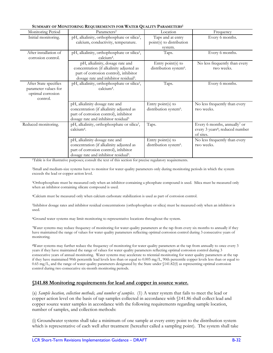| SUMMARY OF MONITORING REQUIREMENTS FOR WATER QUALITY PARAMETERS'               |                                                                                                                                                                           |                                                          |                                                                                                      |  |  |
|--------------------------------------------------------------------------------|---------------------------------------------------------------------------------------------------------------------------------------------------------------------------|----------------------------------------------------------|------------------------------------------------------------------------------------------------------|--|--|
| Monitoring Period                                                              | Parameters <sup>2</sup>                                                                                                                                                   | Location                                                 | Frequency                                                                                            |  |  |
| Initial monitoring.                                                            | pH, alkalinity, orthophosphate or silica <sup>3</sup> ,<br>calcium, conductivity, temperature.                                                                            | Taps and at entry<br>point(s) to distribution<br>system. | Every 6 months.                                                                                      |  |  |
| After installation of<br>corrosion control.                                    | pH, alkalinity, orthophosphate or silica <sup>3</sup> ,<br>calcium <sup>4</sup> .                                                                                         | Taps.                                                    | Every 6 months.                                                                                      |  |  |
|                                                                                | pH, alkalinity, dosage rate and<br>concentration (if alkalinity adjusted as<br>part of corrosion control), inhibitor<br>dosage rate and inhibitor residual <sup>5</sup> . | Entry point(s) to<br>distribution system <sup>6</sup> .  | No less frequently than every<br>two weeks.                                                          |  |  |
| After State specifies<br>parameter values for<br>optimal corrosion<br>control. | pH, alkalinity, orthophosphate or silica <sup>3</sup> ,<br>calcium <sup>4</sup> .                                                                                         | Taps.                                                    | Every 6 months.                                                                                      |  |  |
|                                                                                | pH, alkalinity dosage rate and<br>concentration (if alkalinity adjusted as<br>part of corrosion control), inhibitor<br>dosage rate and inhibitor residual <sup>5</sup>    | Entry point(s) to<br>distribution system <sup>6</sup> .  | No less frequently than every<br>two weeks.                                                          |  |  |
| Reduced monitoring.                                                            | pH, alkalinity, orthophosphate or silica <sup>3</sup> ,<br>calcium <sup>4</sup> .                                                                                         | Taps.                                                    | Every 6 months, annually <sup>7</sup> or<br>every 3 years <sup>8</sup> ; reduced number<br>of sites. |  |  |
|                                                                                | pH, alkalinity dosage rate and<br>concentration (if alkalinity adjusted as<br>part of corrosion control), inhibitor<br>dosage rate and inhibitor residual <sup>5</sup> .  | Entry point(s) to<br>distribution system <sup>6</sup> .  | No less frequently than every<br>two weeks.                                                          |  |  |

**SUMMARY OF MONITORING REQUIREMENTS FOR WATER QUALITY PARAMETERS1**

1Table is for illustrative purposes; consult the text of this section for precise regulatory requirements.

2Small and medium-size systems have to monitor for water quality parameters only during monitoring periods in which the system exceeds the lead or copper action level.

3Orthophosphate must be measured only when an inhibitor containing a phosphate compound is used. Silica must be measured only when an inhibitor containing silicate compound is used.

4Calcium must be measured only when calcium carbonate stabilization is used as part of corrosion control.

5Inhibitor dosage rates and inhibitor residual concentrations (orthophosphate or silica) must be measured only when an inhibitor is used.

6Ground water systems may limit monitoring to representative locations throughout the system.

7Water systems may reduce frequency of monitoring for water quality parameters at the tap from every six months to annually if they have maintained the range of values for water quality parameters reflecting optimal corrosion control during 3 consecutive years of monitoring.

8Water systems may further reduce the frequency of monitoring for water quality parameters at the tap from annually to once every 3 years if they have maintained the range of values for water quality parameters reflecting optimal corrosion control during 3 consecutive years of annual monitoring. Water systems may accelerate to triennial monitoring for water quality parameters at the tap if they have maintained 90th percentile lead levels less than or equal to 0.005 mg/L, 90th percentile copper levels less than or equal to 0.65 mg/L, and the range of water quality parameters designated by the State under §141.82(f) as representing optimal corrosion control during two consecutive six-month monitoring periods.

#### **§141.88 Monitoring requirements for lead and copper in source water.**

(a) *Sample location, collection methods, and number of samples*. (1) A water system that fails to meet the lead or copper action level on the basis of tap samples collected in accordance with §141.86 shall collect lead and copper source water samples in accordance with the following requirements regarding sample location, number of samples, and collection methods:

(i) Groundwater systems shall take a minimum of one sample at every entry point to the distribution system which is representative of each well after treatment (hereafter called a sampling point). The system shall take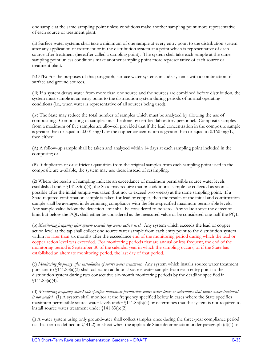one sample at the same sampling point unless conditions make another sampling point more representative of each source or treatment plant.

(ii) Surface water systems shall take a minimum of one sample at every entry point to the distribution system after any application of treatment or in the distribution system at a point which is representative of each source after treatment (hereafter called a sampling point). The system shall take each sample at the same sampling point unless conditions make another sampling point more representative of each source or treatment plant.

NOTE: For the purposes of this paragraph, surface water systems include systems with a combination of surface and ground sources.

(iii) If a system draws water from more than one source and the sources are combined before distribution, the system must sample at an entry point to the distribution system during periods of normal operating conditions (i.e., when water is representative of all sources being used).

(iv) The State may reduce the total number of samples which must be analyzed by allowing the use of compositing. Compositing of samples must be done by certified laboratory personnel. Composite samples from a maximum of five samples are allowed, provided that if the lead concentration in the composite sample is greater than or equal to 0.001 mg/L or the copper concentration is greater than or equal to 0.160 mg/L, then either:

(A) A follow-up sample shall be taken and analyzed within 14 days at each sampling point included in the composite; or

(B) If duplicates of or sufficient quantities from the original samples from each sampling point used in the composite are available, the system may use these instead of resampling.

(2) Where the results of sampling indicate an exceedance of maximum permissible source water levels established under §141.83(b)(4), the State may require that one additional sample be collected as soon as possible after the initial sample was taken (but not to exceed two weeks) at the same sampling point. If a State-required confirmation sample is taken for lead or copper, then the results of the initial and confirmation sample shall be averaged in determining compliance with the State-specified maximum permissible levels. Any sample value below the detection limit shall be considered to be zero. Any value above the detection limit but below the PQL shall either be considered as the measured value or be considered one-half the PQL.

(b) *Monitoring frequency after system exceeds tap water action level*. Any system which exceeds the lead or copper action level at the tap shall collect one source water sample from each entry point to the distribution system within no later than six months after the exceedance end of the monitoring period during which the lead or copper action level was exceeded. For monitoring periods that are annual or less frequent, the end of the monitoring period is September 30 of the calendar year in which the sampling occurs, or if the State has established an alternate monitoring period, the last day of that period.

(c) *Monitoring frequency after installation of source water treatment*. Any system which installs source water treatment pursuant to §141.83(a)(3) shall collect an additional source water sample from each entry point to the distribution system during two consecutive six-month monitoring periods by the deadline specified in  $$141.83(a)(4).$ 

(d) *Monitoring frequency after State specifies maximum permissible source water levels or determines that source water treatment is not needed*. (1) A system shall monitor at the frequency specified below in cases where the State specifies maximum permissible source water levels under §141.83(b)(4) or determines that the system is not required to install source water treatment under §141.83(b)(2).

(i) A water system using only groundwater shall collect samples once during the three-year compliance period (as that term is defined in §141.2) in effect when the applicable State determination under paragraph (d)(1) of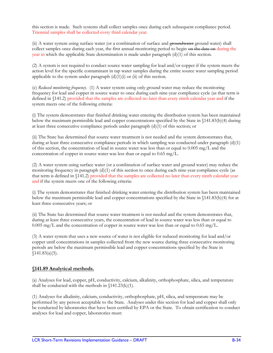this section is made. Such systems shall collect samples once during each subsequent compliance period. Triennial samples shall be collected every third calendar year.

(ii) A water system using surface water (or a combination of surface and groundwater ground water) shall collect samples once during each year, the first annual monitoring period to begin on the date on during the year in which the applicable State determination is made under paragraph (d)(1) of this section.

(2) A system is not required to conduct source water sampling for lead and/or copper if the system meets the action level for the specific contaminant in tap water samples during the entire source water sampling period applicable to the system under paragraph  $(d)(1)(i)$  or  $(ii)$  of this section.

(e) *Reduced monitoring frequency*. (1) A water system using only ground water may reduce the monitoring frequency for lead and copper in source water to once during each nine-year compliance cycle (as that term is defined in §141.2) provided that the samples are collected no later than every ninth calendar year and if the system meets one of the following criteria:

(i) The system demonstrates that finished drinking water entering the distribution system has been maintained below the maximum permissible lead and copper concentrations specified by the State in §141.83(b)(4) during at least three consecutive compliance periods under paragraph  $(d)(1)$  of this section; or

(ii) The State has determined that source water treatment is not needed and the system demonstrates that, during at least three consecutive compliance periods in which sampling was conducted under paragraph (d)(1) of this section, the concentration of lead in source water was less than or equal to 0.005 mg/L and the concentration of copper in source water was less than or equal to 0.65 mg/L.

(2) A water system using surface water (or a combination of surface water and ground water) may reduce the monitoring frequency in paragraph  $(d)(1)$  of this section to once during each nine-year compliance cycle (as that term is defined in §141.2) provided that the samples are collected no later than every ninth calendar year and if the system meets one of the following criteria:

(i) The system demonstrates that finished drinking water entering the distribution system has been maintained below the maximum permissible lead and copper concentrations specified by the State in §141.83(b)(4) for at least three consecutive years; or

(ii) The State has determined that source water treatment is not needed and the system demonstrates that, during at least three consecutive years, the concentration of lead in source water was less than or equal to  $0.005$  mg/L and the concentration of copper in source water was less than or equal to  $0.65$  mg/L.

(3) A water system that uses a new source of water is not eligible for reduced monitoring for lead and/or copper until concentrations in samples collected from the new source during three consecutive monitoring periods are below the maximum permissible lead and copper concentrations specified by the State in  $$141.83(a)(5).$ 

# **§141.89 Analytical methods.**

(a) Analyses for lead, copper, pH, conductivity, calcium, alkalinity, orthophosphate, silica, and temperature shall be conducted with the methods in  $\{141.23(k)(1)\}$ .

(1) Analyses for alkalinity, calcium, conductivity, orthophosphate, pH, silica, and temperature may be performed by any person acceptable to the State. Analyses under this section for lead and copper shall only be conducted by laboratories that have been certified by EPA or the State. To obtain certification to conduct analyses for lead and copper, laboratories must: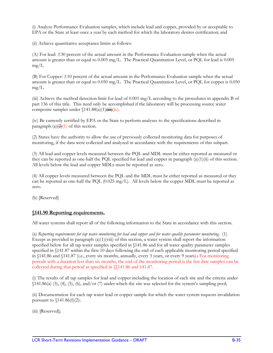(i) Analyze Performance Evaluation samples, which include lead and copper, provided by or acceptable to EPA or the State at least once a year by each method for which the laboratory desires certification; and

(ii) Achieve quantitative acceptance limits as follows:

(A) For lead: ±30 percent of the actual amount in the Performance Evaluation sample when the actual amount is greater than or equal to 0.005 mg/L. The Practical Quantitation Level, or PQL for lead is 0.005 mg/L.

(B) For Copper: ±10 percent of the actual amount in the Performance Evaluation sample when the actual amount is greater than or equal to 0.050 mg/L. The Practical Quantitation Level, or PQL for copper is 0.050 mg/L.

(iii) Achieve the method detection limit for lead of 0.001 mg/L according to the procedures in appendix B of part 136 of this title. This need only be accomplished if the laboratory will be processing source water composite samples under  $\frac{141.88(a)(1)(iii)(iv)}{iv}.$ 

(iv) Be currently certified by EPA or the State to perform analyses to the specifications described in paragraph  $(a)(2)(1)$  of this section.

(2) States have the authority to allow the use of previously collected monitoring data for purposes of monitoring, if the data were collected and analyzed in accordance with the requirements of this subpart.

(3) All lead and copper levels measured between the PQL and MDL must be either reported as measured or they can be reported as one-half the PQL specified for lead and copper in paragraph (a)(1)(ii) of this section. All levels below the lead and copper MDLs must be reported as zero.

(4) All copper levels measured between the PQL and the MDL must be either reported as measured or they can be reported as one-half the PQL (0.025 mg/L). All levels below the copper MDL must be reported as zero.

(b) [Reserved]

# **§141.90 Reporting requirements.**

All water systems shall report all of the following information to the State in accordance with this section.

(a) *Reporting requirements for tap water monitoring for lead and copper and for water quality parameter monitoring.* (1) Except as provided in paragraph  $(a)(1)(viii)$  of this section, a water system shall report the information specified below for all tap water samples specified in §141.86 and for all water quality parameter samples specified in §141.87 within the first 10 days following the end of each applicable monitoring period specified in §141.86 and §141.87 (i.e., every six months, annually, every 3 years, or every 9 years).: For monitoring periods with a duration less than six months, the end of the monitoring period is the last date samples can be collected during that period as specified in §§141.86 and 141.87.

(i) The results of all tap samples for lead and copper including the location of each site and the criteria under  $(141.86(a) (3), (4), (5), (6), and/or (7) under which the site was selected for the system's sampling pool;$ 

(ii) Documentation for each tap water lead or copper sample for which the water system requests invalidation pursuant to  $\{141.86(f)(2)\}$ ;

(iii) [Reserved];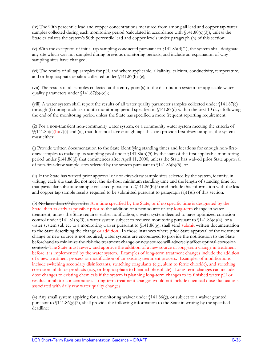(iv) The 90th percentile lead and copper concentrations measured from among all lead and copper tap water samples collected during each monitoring period (calculated in accordance with  $(141.80(c)(3))$ , unless the State calculates the system's 90th percentile lead and copper levels under paragraph (h) of this section;

(v) With the exception of initial tap sampling conducted pursuant to  $\{141.86(d)(1)$ , the system shall designate any site which was not sampled during previous monitoring periods, and include an explanation of why sampling sites have changed;

(vi) The results of all tap samples for pH, and where applicable, alkalinity, calcium, conductivity, temperature, and orthophosphate or silica collected under §141.87(b)-(e);

(vii) The results of all samples collected at the entry point(s) to the distribution system for applicable water quality parameters under §141.87(b)-(e).;

(viii) A water system shall report the results of all water quality parameter samples collected under §141.87(c) through (f) during each six-month monitoring period specified in §141.87(d) within the first 10 days following the end of the monitoring period unless the State has specified a more frequent reporting requirement.

(2) For a non-transient non-community water system, or a community water system meeting the criteria of  $\frac{1}{2}$  (141.85(e)(b)(7)(i) and (ii), that does not have enough taps that can provide first-draw samples, the system must either:

(i) Provide written documentation to the State identifying standing times and locations for enough non-firstdraw samples to make up its sampling pool under §141.86(b)(5) by the start of the first applicable monitoring period under §141.86(d) that commences after April 11, 2000, unless the State has waived prior State approval of non-first-draw sample sites selected by the system pursuant to  $\{141.86(b)(5)\}$ ; or

(ii) If the State has waived prior approval of non-first-draw sample sites selected by the system, identify, in writing, each site that did not meet the six-hour minimum standing time and the length of standing time for that particular substitute sample collected pursuant to §141.86(b)(5) and include this information with the lead and copper tap sample results required to be submitted pursuant to paragraph  $(a)(1)(i)$  of this section.

(3) No later than 60 days after At a time specified by the State, or if no specific time is designated by the State, then as early as possible prior to the addition of a new source or any long-term change in water treatment, unless the State requires earlier notification, a water system deemed to have optimized corrosion control under  $\{141.81(b)(3)$ , a water system subject to reduced monitoring pursuant to  $\{141.86(d)(4)$ , or a water system subject to a monitoring waiver pursuant to  $\{141.86(g), \text{shall}\}$  send submit written documentation to the State describing the change or addition. In those instances where prior State approval of the treatment change or new source is not required, water systems are encouraged to provide the notification to the State beforehand to minimize the risk the treatment change or new source will adversely affect optimal corrosion control. The State must review and approve the addition of a new source or long-term change in treatment before it is implemented by the water system. Examples of long-term treatment changes include the addition of a new treatment process or modification of an existing treatment process. Examples of modifications include switching secondary disinfectants, switching coagulants (e.g., alum to ferric chloride), and switching corrosion inhibitor products (e.g., orthophosphate to blended phosphate). Long-term changes can include dose changes to existing chemicals if the system is planning long-term changes to its finished water pH or residual inhibitor concentration. Long-term treatment changes would not include chemical dose fluctuations associated with daily raw water quality changes.

(4) Any small system applying for a monitoring waiver under §141.86(g), or subject to a waiver granted pursuant to  $(141.86(g)(3))$ , shall provide the following information to the State in writing by the specified deadline: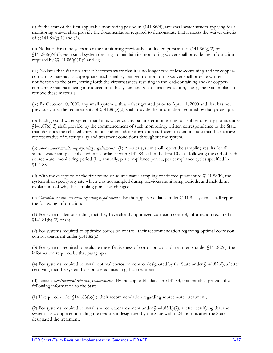(i) By the start of the first applicable monitoring period in §141.86(d), any small water system applying for a monitoring waiver shall provide the documentation required to demonstrate that it meets the waiver criteria of  $\{\$141.86(g)(1)$  and (2).

(ii) No later than nine years after the monitoring previously conducted pursuant to  $\{141.86(g)(2) \text{ or }$  $$141.86(g)(4)(i)$ , each small system desiring to maintain its monitoring waiver shall provide the information required by  $\{\$141.86(g)(4)(i)$  and (ii).

(iii) No later than 60 days after it becomes aware that it is no longer free of lead-containing and/or coppercontaining material, as appropriate, each small system with a monitoring waiver shall provide written notification to the State, setting forth the circumstances resulting in the lead-containing and/or coppercontaining materials being introduced into the system and what corrective action, if any, the system plans to remove these materials.

(iv) By October 10, 2000, any small system with a waiver granted prior to April 11, 2000 and that has not previously met the requirements of  $(141.86(g)(2)$  shall provide the information required by that paragraph.

(5) Each ground water system that limits water quality parameter monitoring to a subset of entry points under §141.87(c)(3) shall provide, by the commencement of such monitoring, written correspondence to the State that identifies the selected entry points and includes information sufficient to demonstrate that the sites are representative of water quality and treatment conditions throughout the system.

(b) *Source water monitoring reporting requirements*. (1) A water system shall report the sampling results for all source water samples collected in accordance with  $\$ 141.88 within the first 10 days following the end of each source water monitoring period (i.e., annually, per compliance period, per compliance cycle) specified in §141.88.

(2) With the exception of the first round of source water sampling conducted pursuant to §141.88(b), the system shall specify any site which was not sampled during previous monitoring periods, and include an explanation of why the sampling point has changed.

(c) *Corrosion control treatment reporting requirements*. By the applicable dates under §141.81, systems shall report the following information:

(1) For systems demonstrating that they have already optimized corrosion control, information required in  $$141.81(b) (2) or (3).$ 

(2) For systems required to optimize corrosion control, their recommendation regarding optimal corrosion control treatment under §141.82(a).

(3) For systems required to evaluate the effectiveness of corrosion control treatments under §141.82(c), the information required by that paragraph.

(4) For systems required to install optimal corrosion control designated by the State under §141.82(d), a letter certifying that the system has completed installing that treatment.

(d) *Source water treatment reporting requirements*. By the applicable dates in §141.83, systems shall provide the following information to the State:

(1) If required under §141.83(b)(1), their recommendation regarding source water treatment;

(2) For systems required to install source water treatment under §141.83(b)(2), a letter certifying that the system has completed installing the treatment designated by the State within 24 months after the State designated the treatment.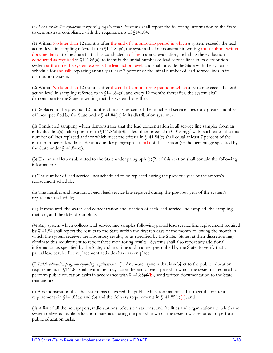(e) *Lead service line replacement reporting requirements*. Systems shall report the following information to the State to demonstrate compliance with the requirements of §141.84:

(1) Within No later than 12 months after the end of a monitoring period in which a system exceeds the lead action level in sampling referred to in §141.84(a), the system shall demonstrate in writing must submit written documentation to the State that it has conducted a of the material evaluation, including the evaluation conducted as required in §141.86(a), to identify the initial number of lead service lines in its distribution system at the time the system exceeds the lead action level, and shall provide the State with the system's schedule for annually replacing annually at least 7 percent of the initial number of lead service lines in its distribution system.

(2) Within No later than 12 months after the end of a monitoring period in which a system exceeds the lead action level in sampling referred to in §141.84(a), and every 12 months thereafter, the system shall demonstrate to the State in writing that the system has either:

(i) Replaced in the previous 12 months at least 7 percent of the initial lead service lines (or a greater number of lines specified by the State under §141.84(e)) in its distribution system, or

(ii) Conducted sampling which demonstrates that the lead concentration in all service line samples from an individual line(s), taken pursuant to  $(141.86(b)(3))$ , is less than or equal to 0.015 mg/L. In such cases, the total number of lines replaced and/or which meet the criteria in §141.84(c) shall equal at least 7 percent of the initial number of lead lines identified under paragraph  $\left(\frac{a}{e}\right)(1)$  of this section (or the percentage specified by the State under §141.84(e)).

(3) The annual letter submitted to the State under paragraph (e)(2) of this section shall contain the following information:

(i) The number of lead service lines scheduled to be replaced during the previous year of the system's replacement schedule;

(ii) The number and location of each lead service line replaced during the previous year of the system's replacement schedule;

(iii) If measured, the water lead concentration and location of each lead service line sampled, the sampling method, and the date of sampling.

(4) Any system which collects lead service line samples following partial lead service line replacement required by §141.84 shall report the results to the State within the first ten days of the month following the month in which the system receives the laboratory results, or as specified by the State. States, at their discretion may eliminate this requirement to report these monitoring results. Systems shall also report any additional information as specified by the State, and in a time and manner prescribed by the State, to verify that all partial lead service line replacement activities have taken place.

(f) *Public education program reporting requirements*. (1) Any water system that is subject to the public education requirements in §141.85 shall, within ten days after the end of each period in which the system is required to perform public education tasks in accordance with  $(141.85\Theta)$ , send written documentation to the State that contains:

(i) A demonstration that the system has delivered the public education materials that meet the content requirements in  $\{141.85(a)$  and  $(b)$  and the delivery requirements in  $\{141.85(c)(b)\}$ ; and

(ii) A list of all the newspapers, radio stations, television stations, and facilities and organizations to which the system delivered public education materials during the period in which the system was required to perform public education tasks.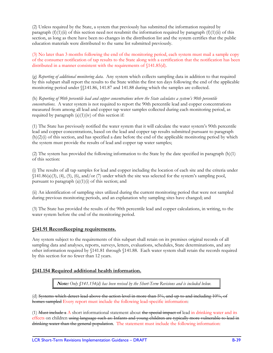(2) Unless required by the State, a system that previously has submitted the information required by paragraph  $(f)(1)(ii)$  of this section need not resubmit the information required by paragraph  $(f)(1)(ii)$  of this section, as long as there have been no changes in the distribution list and the system certifies that the public education materials were distributed to the same list submitted previously.

(3) No later than 3 months following the end of the monitoring period, each system must mail a sample copy of the consumer notification of tap results to the State along with a certification that the notification has been distributed in a manner consistent with the requirements of §141.85(d).

(g) *Reporting of additional monitoring data*. Any system which collects sampling data in addition to that required by this subpart shall report the results to the State within the first ten days following the end of the applicable monitoring period under §§141.86, 141.87 and 141.88 during which the samples are collected.

(h) *Reporting of 90th percentile lead and copper concentrations where the State calculates a system's 90th percentile concentrations*. A water system is not required to report the 90th percentile lead and copper concentrations measured from among all lead and copper tap water samples collected during each monitoring period, as required by paragraph  $(a)(1)(iv)$  of this section if:

(1) The State has previously notified the water system that it will calculate the water system's 90th percentile lead and copper concentrations, based on the lead and copper tap results submitted pursuant to paragraph (h)(2)(i) of this section, and has specified a date before the end of the applicable monitoring period by which the system must provide the results of lead and copper tap water samples;

(2) The system has provided the following information to the State by the date specified in paragraph (h)(1) of this section:

(i) The results of all tap samples for lead and copper including the location of each site and the criteria under  $(141.86(a)(3), (4), (5), (6), and/or (7) under which the site was selected for the system's sampling pool,$ pursuant to paragraph  $(a)(1)(i)$  of this section; and

(ii) An identification of sampling sites utilized during the current monitoring period that were not sampled during previous monitoring periods, and an explanation why sampling sites have changed; and

(3) The State has provided the results of the 90th percentile lead and copper calculations, in writing, to the water system before the end of the monitoring period.

# **§141.91 Recordkeeping requirements.**

Any system subject to the requirements of this subpart shall retain on its premises original records of all sampling data and analyses, reports, surveys, letters, evaluations, schedules, State determinations, and any other information required by §141.81 through §141.88. Each water system shall retain the records required by this section for no fewer than 12 years.

# **§141.154 Required additional health information.**

**Note:** *Only §141.154(d) has been revised by the Short-Term Revisions and is included below.* 

(d) Systems which detect lead above the action level in more than 5%, and up to and including 10%, of homes sampled Every report must include the following lead-specific information:

(1) Must include a A short informational statement about the special impact of lead in drinking water and its effects on children using language such as: Infants and young children are typically more vulnerable to lead in drinking water than the general population. The statement must include the following information: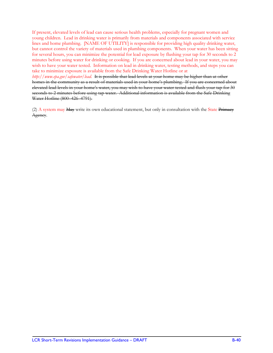If present, elevated levels of lead can cause serious health problems, especially for pregnant women and young children. Lead in drinking water is primarily from materials and components associated with service lines and home plumbing. [NAME OF UTILITY] is responsible for providing high quality drinking water, but cannot control the variety of materials used in plumbing components. When your water has been sitting for several hours, you can minimize the potential for lead exposure by flushing your tap for 30 seconds to 2 minutes before using water for drinking or cooking. If you are concerned about lead in your water, you may wish to have your water tested. Information on lead in drinking water, testing methods, and steps you can take to minimize exposure is available from the Safe Drinking Water Hotline or at

*http://www.epa.gov/safewater/lead*. It is possible that lead levels at your home may be higher than at other homes in the community as a result of materials used in your home's plumbing. If you are concerned about elevated lead levels in your home's water, you may wish to have your water tested and flush your tap for 30 seconds to 2 minutes before using tap water. Additional information is available from the Safe Drinking Water Hotline (800–426–4791).

(2) A system may May write its own educational statement, but only in consultation with the State Primacy Agency.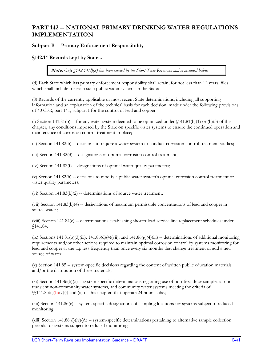# **PART 142 -- NATIONAL PRIMARY DRINKING WATER REGULATIONS IMPLEMENTATION**

# **Subpart B -- Primary Enforcement Responsibility**

# **§142.14 Records kept by States.**

**Note:** *Only §142.14(d)(8) has been revised by the Short-Term Revisions and is included below.* 

(d) Each State which has primary enforcement responsibility shall retain, for not less than 12 years, files which shall include for each such public water systems in the State:

(8) Records of the currently applicable or most recent State determinations, including all supporting information and an explanation of the technical basis for each decision, made under the following provisions of 40 CFR, part 141, subpart I for the control of lead and copper:

(i) Section 141.81(b) -- for any water system deemed to be optimized under  $(141.81(b)(1)$  or (b)(3) of this chapter, any conditions imposed by the State on specific water systems to ensure the continued operation and maintenance of corrosion control treatment in place;

(ii) Section 141.82(b) -- decisions to require a water system to conduct corrosion control treatment studies;

(iii) Section 141.82(d) -- designations of optimal corrosion control treatment;

(iv) Section  $141.82(f)$  -- designations of optimal water quality parameters;

(v) Section 141.82(h) -- decisions to modify a public water system's optimal corrosion control treatment or water quality parameters;

 $(vi)$  Section 141.83 $(b)(2)$  -- determinations of source water treatment;

(vii) Section 141.83(b)(4) -- designations of maximum permissible concentrations of lead and copper in source water.:

(viii) Section 141.84(e) -- determinations establishing shorter lead service line replacement schedules under §141.84;

(ix) Sections  $141.81(b)(3)(iii)$ ,  $141.86(d)(4)(vii)$ , and  $141.86(g)(4)(iii)$  -- determinations of additional monitoring requirements and/or other actions required to maintain optimal corrosion control by systems monitoring for lead and copper at the tap less frequently than once every six months that change treatment or add a new source of water;

(x) Section 141.85 -- system-specific decisions regarding the content of written public education materials and/or the distribution of these materials;

(xi) Section 141.86(b)(5) -- system-specific determinations regarding use of non-first-draw samples at nontransient non-community water systems, and community water systems meeting the criteria of  $\sqrt{(141.85\langle \mathbf{c} \rangle)(b)}$  (7)(i) and (ii) of this chapter, that operate 24 hours a day;

(xii) Section 141.86(c) -- system-specific designations of sampling locations for systems subject to reduced monitoring;

 $(xiii)$  Section 141.86(d)(iv)(A) -- system-specific determinations pertaining to alternative sample collection periods for systems subject to reduced monitoring;